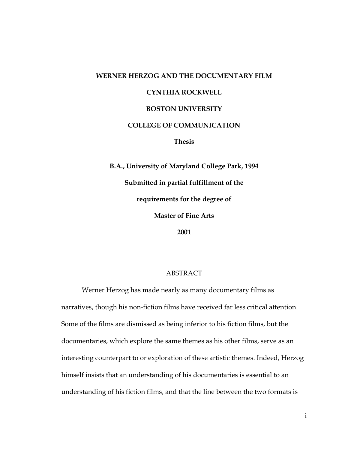#### **WERNER HERZOG AND THE DOCUMENTARY FILM**

#### **CYNTHIA ROCKWELL**

#### **BOSTON UNIVERSITY**

#### **COLLEGE OF COMMUNICATION**

**Thesis** 

**B.A., University of Maryland College Park, 1994 Submitted in partial fulfillment of the requirements for the degree of Master of Fine Arts 2001** 

ABSTRACT

Werner Herzog has made nearly as many documentary films as narratives, though his non-fiction films have received far less critical attention. Some of the films are dismissed as being inferior to his fiction films, but the documentaries, which explore the same themes as his other films, serve as an interesting counterpart to or exploration of these artistic themes. Indeed, Herzog himself insists that an understanding of his documentaries is essential to an understanding of his fiction films, and that the line between the two formats is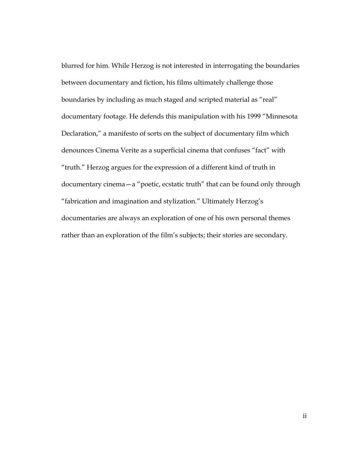blurred for him. While Herzog is not interested in interrogating the boundaries between documentary and fiction, his films ultimately challenge those boundaries by including as much staged and scripted material as "real" documentary footage. He defends this manipulation with his 1999 "Minnesota Declaration," a manifesto of sorts on the subject of documentary film which denounces Cinema Verite as a superficial cinema that confuses "fact" with "truth." Herzog argues for the expression of a different kind of truth in documentary cinema—a "poetic, ecstatic truth" that can be found only through "fabrication and imagination and stylization." Ultimately Herzog's documentaries are always an exploration of one of his own personal themes rather than an exploration of the film's subjects; their stories are secondary.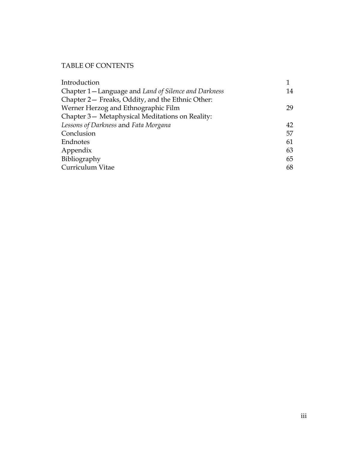# TABLE OF CONTENTS

| Introduction                                          |    |
|-------------------------------------------------------|----|
| Chapter 1 – Language and Land of Silence and Darkness | 14 |
| Chapter 2- Freaks, Oddity, and the Ethnic Other:      |    |
| Werner Herzog and Ethnographic Film                   | 29 |
| Chapter 3- Metaphysical Meditations on Reality:       |    |
| Lessons of Darkness and Fata Morgana                  | 42 |
| Conclusion                                            | 57 |
| Endnotes                                              | 61 |
| Appendix                                              | 63 |
| Bibliography                                          | 65 |
| Curriculum Vitae                                      | 68 |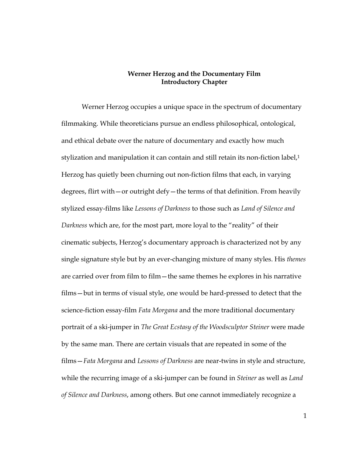## **Werner Herzog and the Documentary Film Introductory Chapter**

Werner Herzog occupies a unique space in the spectrum of documentary filmmaking. While theoreticians pursue an endless philosophical, ontological, and ethical debate over the nature of documentary and exactly how much stylization and manipulation it can contain and still retain its non-fiction label,<sup>1</sup> Herzog has quietly been churning out non-fiction films that each, in varying degrees, flirt with—or outright defy—the terms of that definition. From heavily stylized essay-films like *Lessons of Darkness* to those such as *Land of Silence and Darkness* which are, for the most part, more loyal to the "reality" of their cinematic subjects, Herzog's documentary approach is characterized not by any single signature style but by an ever-changing mixture of many styles. His *themes* are carried over from film to film—the same themes he explores in his narrative films—but in terms of visual style, one would be hard-pressed to detect that the science-fiction essay-film *Fata Morgana* and the more traditional documentary portrait of a ski-jumper in *The Great Ecstasy of the Woodsculptor Steiner* were made by the same man. There are certain visuals that are repeated in some of the films—*Fata Morgana* and *Lessons of Darkness* are near-twins in style and structure, while the recurring image of a ski-jumper can be found in *Steiner* as well as *Land of Silence and Darkness*, among others*.* But one cannot immediately recognize a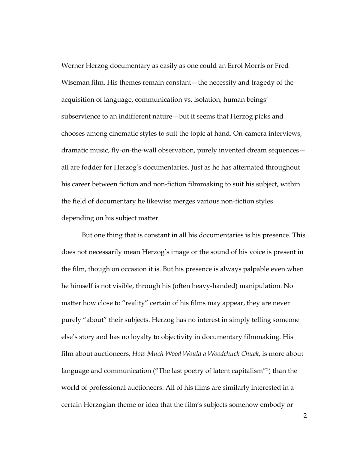Werner Herzog documentary as easily as one could an Errol Morris or Fred Wiseman film. His themes remain constant—the necessity and tragedy of the acquisition of language, communication vs. isolation, human beings' subservience to an indifferent nature—but it seems that Herzog picks and chooses among cinematic styles to suit the topic at hand. On-camera interviews, dramatic music, fly-on-the-wall observation, purely invented dream sequences all are fodder for Herzog's documentaries. Just as he has alternated throughout his career between fiction and non-fiction filmmaking to suit his subject, within the field of documentary he likewise merges various non-fiction styles depending on his subject matter.

But one thing that is constant in all his documentaries is his presence. This does not necessarily mean Herzog's image or the sound of his voice is present in the film, though on occasion it is. But his presence is always palpable even when he himself is not visible, through his (often heavy-handed) manipulation. No matter how close to "reality" certain of his films may appear, they are never purely "about" their subjects. Herzog has no interest in simply telling someone else's story and has no loyalty to objectivity in documentary filmmaking. His film about auctioneers, *How Much Wood Would a Woodchuck Chuck*, is more about language and communication ("The last poetry of latent capitalism"2) than the world of professional auctioneers. All of his films are similarly interested in a certain Herzogian theme or idea that the film's subjects somehow embody or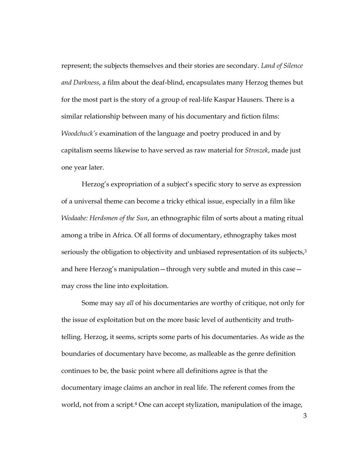represent; the subjects themselves and their stories are secondary. *Land of Silence and Darkness*, a film about the deaf-blind, encapsulates many Herzog themes but for the most part is the story of a group of real-life Kaspar Hausers. There is a similar relationship between many of his documentary and fiction films: *Woodchuck's* examination of the language and poetry produced in and by capitalism seems likewise to have served as raw material for *Stroszek*, made just one year later.

Herzog's expropriation of a subject's specific story to serve as expression of a universal theme can become a tricky ethical issue, especially in a film like *Wodaabe: Herdsmen of the Sun*, an ethnographic film of sorts about a mating ritual among a tribe in Africa. Of all forms of documentary, ethnography takes most seriously the obligation to objectivity and unbiased representation of its subjects,<sup>3</sup> and here Herzog's manipulation—through very subtle and muted in this case may cross the line into exploitation.

Some may say *all* of his documentaries are worthy of critique, not only for the issue of exploitation but on the more basic level of authenticity and truthtelling. Herzog, it seems, scripts some parts of his documentaries. As wide as the boundaries of documentary have become, as malleable as the genre definition continues to be, the basic point where all definitions agree is that the documentary image claims an anchor in real life. The referent comes from the world, not from a script.<sup>4</sup> One can accept stylization, manipulation of the image,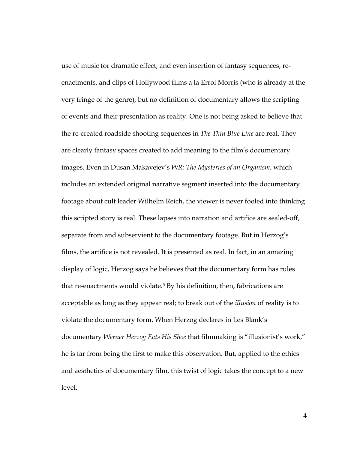use of music for dramatic effect, and even insertion of fantasy sequences, reenactments, and clips of Hollywood films a la Errol Morris (who is already at the very fringe of the genre), but no definition of documentary allows the scripting of events and their presentation as reality. One is not being asked to believe that the re-created roadside shooting sequences in *The Thin Blue Line* are real. They are clearly fantasy spaces created to add meaning to the film's documentary images. Even in Dusan Makavejev's *WR: The Mysteries of an Organism*, which includes an extended original narrative segment inserted into the documentary footage about cult leader Wilhelm Reich, the viewer is never fooled into thinking this scripted story is real. These lapses into narration and artifice are sealed-off, separate from and subservient to the documentary footage. But in Herzog's films, the artifice is not revealed. It is presented as real. In fact, in an amazing display of logic, Herzog says he believes that the documentary form has rules that re-enactments would violate.5 By his definition, then, fabrications are acceptable as long as they appear real; to break out of the *illusion* of reality is to violate the documentary form. When Herzog declares in Les Blank's documentary *Werner Herzog Eats His Shoe* that filmmaking is "illusionist's work," he is far from being the first to make this observation. But, applied to the ethics and aesthetics of documentary film, this twist of logic takes the concept to a new level.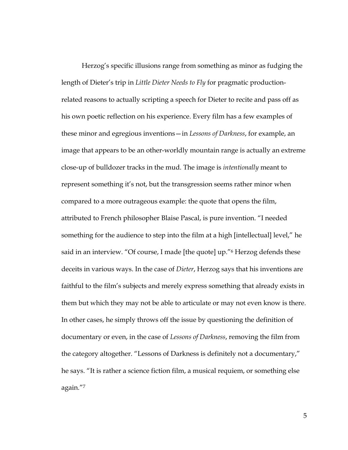Herzog's specific illusions range from something as minor as fudging the length of Dieter's trip in *Little Dieter Needs to Fly* for pragmatic productionrelated reasons to actually scripting a speech for Dieter to recite and pass off as his own poetic reflection on his experience. Every film has a few examples of these minor and egregious inventions—in *Lessons of Darkness*, for example, an image that appears to be an other-worldly mountain range is actually an extreme close-up of bulldozer tracks in the mud. The image is *intentionally* meant to represent something it's not, but the transgression seems rather minor when compared to a more outrageous example: the quote that opens the film, attributed to French philosopher Blaise Pascal, is pure invention. "I needed something for the audience to step into the film at a high [intellectual] level," he said in an interview. "Of course, I made [the quote] up."6 Herzog defends these deceits in various ways. In the case of *Dieter*, Herzog says that his inventions are faithful to the film's subjects and merely express something that already exists in them but which they may not be able to articulate or may not even know is there. In other cases, he simply throws off the issue by questioning the definition of documentary or even, in the case of *Lessons of Darkness*, removing the film from the category altogether. "Lessons of Darkness is definitely not a documentary," he says. "It is rather a science fiction film, a musical requiem, or something else again."7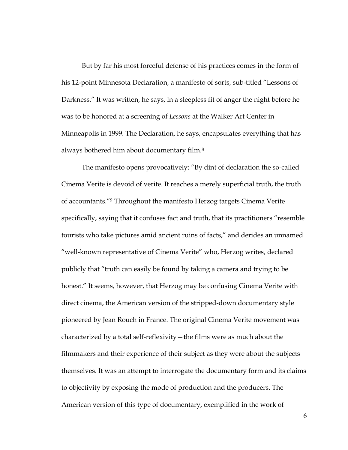But by far his most forceful defense of his practices comes in the form of his 12-point Minnesota Declaration, a manifesto of sorts, sub-titled "Lessons of Darkness." It was written, he says, in a sleepless fit of anger the night before he was to be honored at a screening of *Lessons* at the Walker Art Center in Minneapolis in 1999. The Declaration, he says, encapsulates everything that has always bothered him about documentary film.8

The manifesto opens provocatively: "By dint of declaration the so-called Cinema Verite is devoid of verite. It reaches a merely superficial truth, the truth of accountants."9 Throughout the manifesto Herzog targets Cinema Verite specifically, saying that it confuses fact and truth, that its practitioners "resemble tourists who take pictures amid ancient ruins of facts," and derides an unnamed "well-known representative of Cinema Verite" who, Herzog writes, declared publicly that "truth can easily be found by taking a camera and trying to be honest." It seems, however, that Herzog may be confusing Cinema Verite with direct cinema, the American version of the stripped-down documentary style pioneered by Jean Rouch in France. The original Cinema Verite movement was characterized by a total self-reflexivity—the films were as much about the filmmakers and their experience of their subject as they were about the subjects themselves. It was an attempt to interrogate the documentary form and its claims to objectivity by exposing the mode of production and the producers. The American version of this type of documentary, exemplified in the work of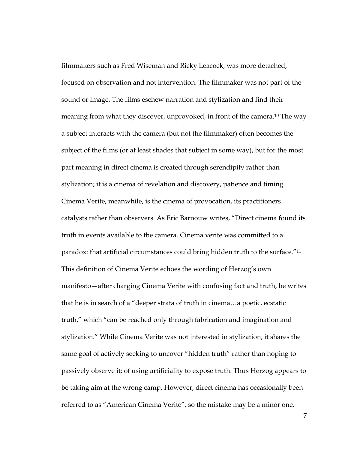filmmakers such as Fred Wiseman and Ricky Leacock, was more detached, focused on observation and not intervention. The filmmaker was not part of the sound or image. The films eschew narration and stylization and find their meaning from what they discover, unprovoked, in front of the camera.<sup>10</sup> The way a subject interacts with the camera (but not the filmmaker) often becomes the subject of the films (or at least shades that subject in some way), but for the most part meaning in direct cinema is created through serendipity rather than stylization; it is a cinema of revelation and discovery, patience and timing. Cinema Verite, meanwhile, is the cinema of provocation, its practitioners catalysts rather than observers. As Eric Barnouw writes, "Direct cinema found its truth in events available to the camera. Cinema verite was committed to a paradox: that artificial circumstances could bring hidden truth to the surface."11 This definition of Cinema Verite echoes the wording of Herzog's own manifesto—after charging Cinema Verite with confusing fact and truth, he writes that he is in search of a "deeper strata of truth in cinema…a poetic, ecstatic truth," which "can be reached only through fabrication and imagination and stylization." While Cinema Verite was not interested in stylization, it shares the same goal of actively seeking to uncover "hidden truth" rather than hoping to passively observe it; of using artificiality to expose truth. Thus Herzog appears to be taking aim at the wrong camp. However, direct cinema has occasionally been referred to as "American Cinema Verite", so the mistake may be a minor one.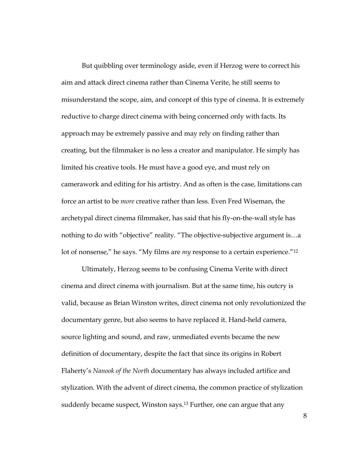But quibbling over terminology aside, even if Herzog were to correct his aim and attack direct cinema rather than Cinema Verite, he still seems to misunderstand the scope, aim, and concept of this type of cinema. It is extremely reductive to charge direct cinema with being concerned only with facts. Its approach may be extremely passive and may rely on finding rather than creating, but the filmmaker is no less a creator and manipulator. He simply has limited his creative tools. He must have a good eye, and must rely on camerawork and editing for his artistry. And as often is the case, limitations can force an artist to be *more* creative rather than less. Even Fred Wiseman, the archetypal direct cinema filmmaker, has said that his fly-on-the-wall style has nothing to do with "objective" reality. "The objective-subjective argument is…a lot of nonsense," he says. "My films are *my* response to a certain experience."12

Ultimately, Herzog seems to be confusing Cinema Verite with direct cinema and direct cinema with journalism. But at the same time, his outcry is valid, because as Brian Winston writes, direct cinema not only revolutionized the documentary genre, but also seems to have replaced it. Hand-held camera, source lighting and sound, and raw, unmediated events became the new definition of documentary, despite the fact that since its origins in Robert Flaherty's *Nanook of the North* documentary has always included artifice and stylization. With the advent of direct cinema, the common practice of stylization suddenly became suspect, Winston says.<sup>13</sup> Further, one can argue that any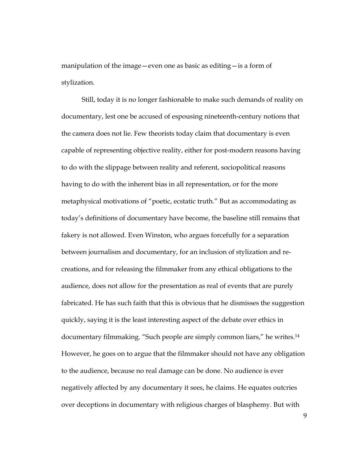manipulation of the image—even one as basic as editing—is a form of stylization.

Still, today it is no longer fashionable to make such demands of reality on documentary, lest one be accused of espousing nineteenth-century notions that the camera does not lie. Few theorists today claim that documentary is even capable of representing objective reality, either for post-modern reasons having to do with the slippage between reality and referent, sociopolitical reasons having to do with the inherent bias in all representation, or for the more metaphysical motivations of "poetic, ecstatic truth." But as accommodating as today's definitions of documentary have become, the baseline still remains that fakery is not allowed. Even Winston, who argues forcefully for a separation between journalism and documentary, for an inclusion of stylization and recreations, and for releasing the filmmaker from any ethical obligations to the audience, does not allow for the presentation as real of events that are purely fabricated. He has such faith that this is obvious that he dismisses the suggestion quickly, saying it is the least interesting aspect of the debate over ethics in documentary filmmaking. "Such people are simply common liars," he writes.14 However, he goes on to argue that the filmmaker should not have any obligation to the audience, because no real damage can be done. No audience is ever negatively affected by any documentary it sees, he claims. He equates outcries over deceptions in documentary with religious charges of blasphemy. But with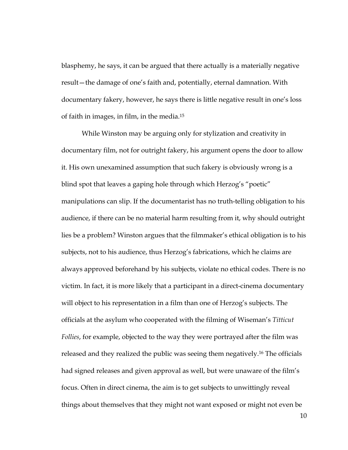blasphemy, he says, it can be argued that there actually is a materially negative result—the damage of one's faith and, potentially, eternal damnation. With documentary fakery, however, he says there is little negative result in one's loss of faith in images, in film, in the media.15

While Winston may be arguing only for stylization and creativity in documentary film, not for outright fakery, his argument opens the door to allow it. His own unexamined assumption that such fakery is obviously wrong is a blind spot that leaves a gaping hole through which Herzog's "poetic" manipulations can slip. If the documentarist has no truth-telling obligation to his audience, if there can be no material harm resulting from it, why should outright lies be a problem? Winston argues that the filmmaker's ethical obligation is to his subjects, not to his audience, thus Herzog's fabrications, which he claims are always approved beforehand by his subjects, violate no ethical codes. There is no victim. In fact, it is more likely that a participant in a direct-cinema documentary will object to his representation in a film than one of Herzog's subjects. The officials at the asylum who cooperated with the filming of Wiseman's *Titticut Follies*, for example, objected to the way they were portrayed after the film was released and they realized the public was seeing them negatively.16 The officials had signed releases and given approval as well, but were unaware of the film's focus. Often in direct cinema, the aim is to get subjects to unwittingly reveal things about themselves that they might not want exposed or might not even be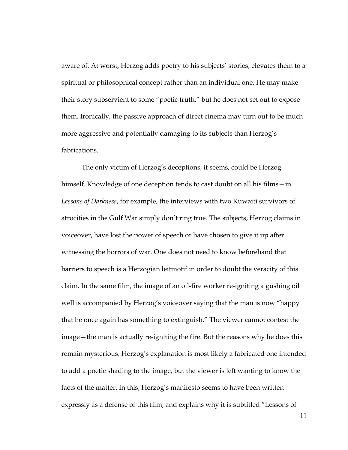aware of. At worst, Herzog adds poetry to his subjects' stories, elevates them to a spiritual or philosophical concept rather than an individual one. He may make their story subservient to some "poetic truth," but he does not set out to expose them. Ironically, the passive approach of direct cinema may turn out to be much more aggressive and potentially damaging to its subjects than Herzog's fabrications.

The only victim of Herzog's deceptions, it seems, could be Herzog himself. Knowledge of one deception tends to cast doubt on all his films—in *Lessons of Darkness*, for example, the interviews with two Kuwaiti survivors of atrocities in the Gulf War simply don't ring true. The subjects, Herzog claims in voiceover, have lost the power of speech or have chosen to give it up after witnessing the horrors of war. One does not need to know beforehand that barriers to speech is a Herzogian leitmotif in order to doubt the veracity of this claim. In the same film, the image of an oil-fire worker re-igniting a gushing oil well is accompanied by Herzog's voiceover saying that the man is now "happy that he once again has something to extinguish." The viewer cannot contest the image—the man is actually re-igniting the fire. But the reasons why he does this remain mysterious. Herzog's explanation is most likely a fabricated one intended to add a poetic shading to the image, but the viewer is left wanting to know the facts of the matter. In this, Herzog's manifesto seems to have been written expressly as a defense of this film, and explains why it is subtitled "Lessons of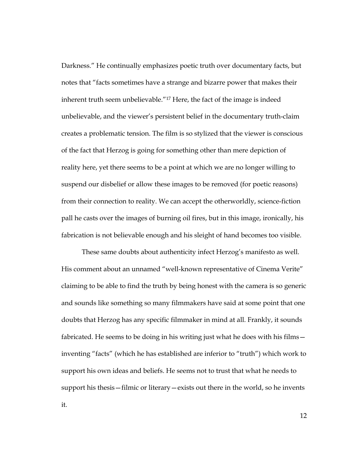Darkness." He continually emphasizes poetic truth over documentary facts, but notes that "facts sometimes have a strange and bizarre power that makes their inherent truth seem unbelievable."17 Here, the fact of the image is indeed unbelievable, and the viewer's persistent belief in the documentary truth-claim creates a problematic tension. The film is so stylized that the viewer is conscious of the fact that Herzog is going for something other than mere depiction of reality here, yet there seems to be a point at which we are no longer willing to suspend our disbelief or allow these images to be removed (for poetic reasons) from their connection to reality. We can accept the otherworldly, science-fiction pall he casts over the images of burning oil fires, but in this image, ironically, his fabrication is not believable enough and his sleight of hand becomes too visible.

These same doubts about authenticity infect Herzog's manifesto as well. His comment about an unnamed "well-known representative of Cinema Verite" claiming to be able to find the truth by being honest with the camera is so generic and sounds like something so many filmmakers have said at some point that one doubts that Herzog has any specific filmmaker in mind at all. Frankly, it sounds fabricated. He seems to be doing in his writing just what he does with his films inventing "facts" (which he has established are inferior to "truth") which work to support his own ideas and beliefs. He seems not to trust that what he needs to support his thesis—filmic or literary—exists out there in the world, so he invents

it.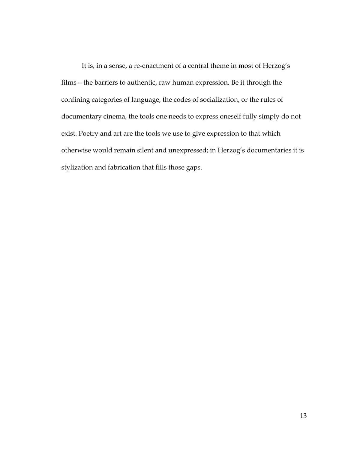It is, in a sense, a re-enactment of a central theme in most of Herzog's films—the barriers to authentic, raw human expression. Be it through the confining categories of language, the codes of socialization, or the rules of documentary cinema, the tools one needs to express oneself fully simply do not exist. Poetry and art are the tools we use to give expression to that which otherwise would remain silent and unexpressed; in Herzog's documentaries it is stylization and fabrication that fills those gaps.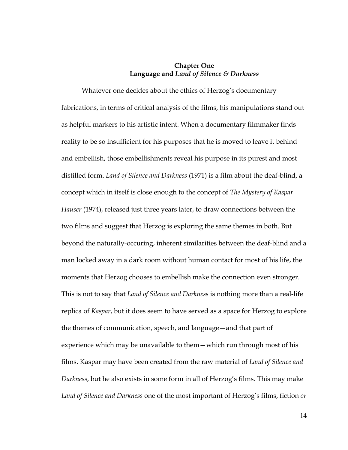# **Chapter One Language and** *Land of Silence & Darkness*

Whatever one decides about the ethics of Herzog's documentary fabrications, in terms of critical analysis of the films, his manipulations stand out as helpful markers to his artistic intent. When a documentary filmmaker finds reality to be so insufficient for his purposes that he is moved to leave it behind and embellish, those embellishments reveal his purpose in its purest and most distilled form. *Land of Silence and Darkness* (1971) is a film about the deaf-blind, a concept which in itself is close enough to the concept of *The Mystery of Kaspar Hauser* (1974), released just three years later, to draw connections between the two films and suggest that Herzog is exploring the same themes in both. But beyond the naturally-occuring, inherent similarities between the deaf-blind and a man locked away in a dark room without human contact for most of his life, the moments that Herzog chooses to embellish make the connection even stronger. This is not to say that *Land of Silence and Darkness* is nothing more than a real-life replica of *Kaspar*, but it does seem to have served as a space for Herzog to explore the themes of communication, speech, and language—and that part of experience which may be unavailable to them—which run through most of his films. Kaspar may have been created from the raw material of *Land of Silence and Darkness*, but he also exists in some form in all of Herzog's films. This may make *Land of Silence and Darkness* one of the most important of Herzog's films, fiction *or*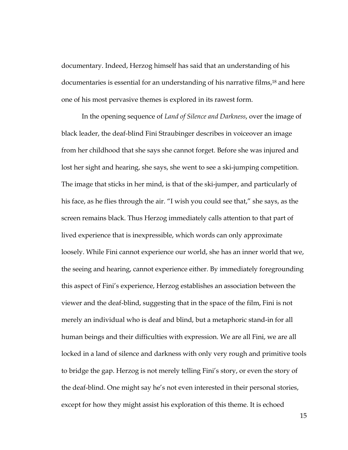documentary. Indeed, Herzog himself has said that an understanding of his documentaries is essential for an understanding of his narrative films,18 and here one of his most pervasive themes is explored in its rawest form.

In the opening sequence of *Land of Silence and Darkness*, over the image of black leader, the deaf-blind Fini Straubinger describes in voiceover an image from her childhood that she says she cannot forget. Before she was injured and lost her sight and hearing, she says, she went to see a ski-jumping competition. The image that sticks in her mind, is that of the ski-jumper, and particularly of his face, as he flies through the air. "I wish you could see that," she says, as the screen remains black. Thus Herzog immediately calls attention to that part of lived experience that is inexpressible, which words can only approximate loosely. While Fini cannot experience our world, she has an inner world that we, the seeing and hearing, cannot experience either. By immediately foregrounding this aspect of Fini's experience, Herzog establishes an association between the viewer and the deaf-blind, suggesting that in the space of the film, Fini is not merely an individual who is deaf and blind, but a metaphoric stand-in for all human beings and their difficulties with expression. We are all Fini, we are all locked in a land of silence and darkness with only very rough and primitive tools to bridge the gap. Herzog is not merely telling Fini's story, or even the story of the deaf-blind. One might say he's not even interested in their personal stories, except for how they might assist his exploration of this theme. It is echoed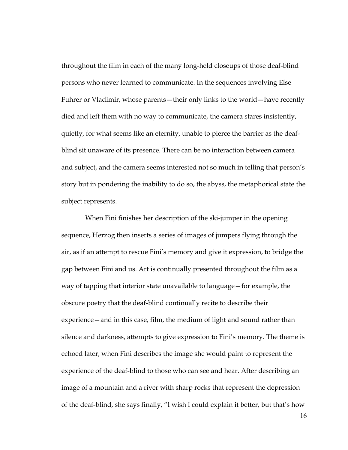throughout the film in each of the many long-held closeups of those deaf-blind persons who never learned to communicate. In the sequences involving Else Fuhrer or Vladimir, whose parents—their only links to the world—have recently died and left them with no way to communicate, the camera stares insistently, quietly, for what seems like an eternity, unable to pierce the barrier as the deafblind sit unaware of its presence. There can be no interaction between camera and subject, and the camera seems interested not so much in telling that person's story but in pondering the inability to do so, the abyss, the metaphorical state the subject represents.

 When Fini finishes her description of the ski-jumper in the opening sequence, Herzog then inserts a series of images of jumpers flying through the air, as if an attempt to rescue Fini's memory and give it expression, to bridge the gap between Fini and us. Art is continually presented throughout the film as a way of tapping that interior state unavailable to language—for example, the obscure poetry that the deaf-blind continually recite to describe their experience—and in this case, film, the medium of light and sound rather than silence and darkness, attempts to give expression to Fini's memory. The theme is echoed later, when Fini describes the image she would paint to represent the experience of the deaf-blind to those who can see and hear. After describing an image of a mountain and a river with sharp rocks that represent the depression of the deaf-blind, she says finally, "I wish I could explain it better, but that's how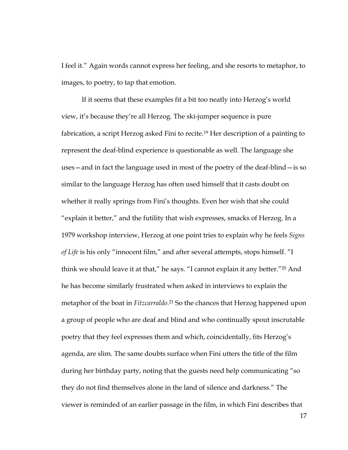I feel it." Again words cannot express her feeling, and she resorts to metaphor, to images, to poetry, to tap that emotion.

If it seems that these examples fit a bit too neatly into Herzog's world view, it's because they're all Herzog. The ski-jumper sequence is pure fabrication, a script Herzog asked Fini to recite.19 Her description of a painting to represent the deaf-blind experience is questionable as well. The language she uses—and in fact the language used in most of the poetry of the deaf-blind—is so similar to the language Herzog has often used himself that it casts doubt on whether it really springs from Fini's thoughts. Even her wish that she could "explain it better," and the futility that wish expresses, smacks of Herzog. In a 1979 workshop interview, Herzog at one point tries to explain why he feels *Signs of Life* is his only "innocent film," and after several attempts, stops himself. "I think we should leave it at that," he says. "I cannot explain it any better."20 And he has become similarly frustrated when asked in interviews to explain the metaphor of the boat in *Fitzcarraldo*. 21 So the chances that Herzog happened upon a group of people who are deaf and blind and who continually spout inscrutable poetry that they feel expresses them and which, coincidentally, fits Herzog's agenda, are slim. The same doubts surface when Fini utters the title of the film during her birthday party, noting that the guests need help communicating "so they do not find themselves alone in the land of silence and darkness." The viewer is reminded of an earlier passage in the film, in which Fini describes that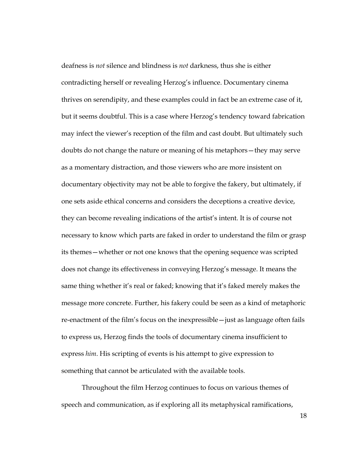deafness is *not* silence and blindness is *not* darkness, thus she is either contradicting herself or revealing Herzog's influence. Documentary cinema thrives on serendipity, and these examples could in fact be an extreme case of it, but it seems doubtful. This is a case where Herzog's tendency toward fabrication may infect the viewer's reception of the film and cast doubt. But ultimately such doubts do not change the nature or meaning of his metaphors—they may serve as a momentary distraction, and those viewers who are more insistent on documentary objectivity may not be able to forgive the fakery, but ultimately, if one sets aside ethical concerns and considers the deceptions a creative device, they can become revealing indications of the artist's intent. It is of course not necessary to know which parts are faked in order to understand the film or grasp its themes—whether or not one knows that the opening sequence was scripted does not change its effectiveness in conveying Herzog's message. It means the same thing whether it's real or faked; knowing that it's faked merely makes the message more concrete. Further, his fakery could be seen as a kind of metaphoric re-enactment of the film's focus on the inexpressible—just as language often fails to express us, Herzog finds the tools of documentary cinema insufficient to express *him*. His scripting of events is his attempt to give expression to something that cannot be articulated with the available tools.

Throughout the film Herzog continues to focus on various themes of speech and communication, as if exploring all its metaphysical ramifications,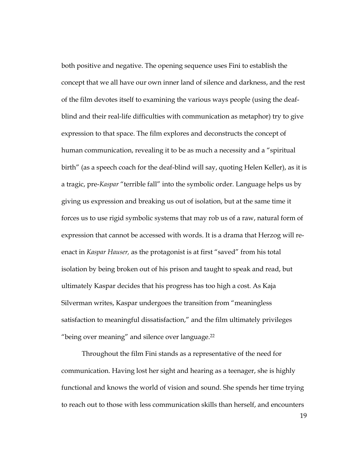both positive and negative. The opening sequence uses Fini to establish the concept that we all have our own inner land of silence and darkness, and the rest of the film devotes itself to examining the various ways people (using the deafblind and their real-life difficulties with communication as metaphor) try to give expression to that space. The film explores and deconstructs the concept of human communication, revealing it to be as much a necessity and a "spiritual birth" (as a speech coach for the deaf-blind will say, quoting Helen Keller), as it is a tragic, pre-*Kaspar* "terrible fall" into the symbolic order. Language helps us by giving us expression and breaking us out of isolation, but at the same time it forces us to use rigid symbolic systems that may rob us of a raw, natural form of expression that cannot be accessed with words. It is a drama that Herzog will reenact in *Kaspar Hauser,* as the protagonist is at first "saved" from his total isolation by being broken out of his prison and taught to speak and read, but ultimately Kaspar decides that his progress has too high a cost. As Kaja Silverman writes, Kaspar undergoes the transition from "meaningless satisfaction to meaningful dissatisfaction," and the film ultimately privileges "being over meaning" and silence over language.22

Throughout the film Fini stands as a representative of the need for communication. Having lost her sight and hearing as a teenager, she is highly functional and knows the world of vision and sound. She spends her time trying to reach out to those with less communication skills than herself, and encounters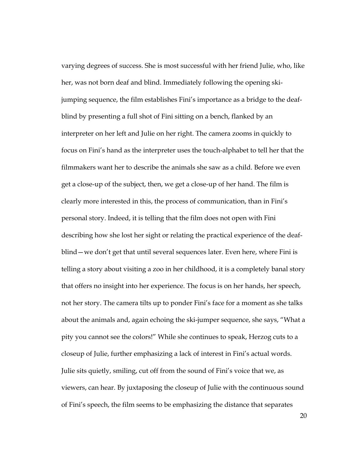varying degrees of success. She is most successful with her friend Julie, who, like her, was not born deaf and blind. Immediately following the opening skijumping sequence, the film establishes Fini's importance as a bridge to the deafblind by presenting a full shot of Fini sitting on a bench, flanked by an interpreter on her left and Julie on her right. The camera zooms in quickly to focus on Fini's hand as the interpreter uses the touch-alphabet to tell her that the filmmakers want her to describe the animals she saw as a child. Before we even get a close-up of the subject, then, we get a close-up of her hand. The film is clearly more interested in this, the process of communication, than in Fini's personal story. Indeed, it is telling that the film does not open with Fini describing how she lost her sight or relating the practical experience of the deafblind—we don't get that until several sequences later. Even here, where Fini is telling a story about visiting a zoo in her childhood, it is a completely banal story that offers no insight into her experience. The focus is on her hands, her speech, not her story. The camera tilts up to ponder Fini's face for a moment as she talks about the animals and, again echoing the ski-jumper sequence, she says, "What a pity you cannot see the colors!" While she continues to speak, Herzog cuts to a closeup of Julie, further emphasizing a lack of interest in Fini's actual words. Julie sits quietly, smiling, cut off from the sound of Fini's voice that we, as viewers, can hear. By juxtaposing the closeup of Julie with the continuous sound of Fini's speech, the film seems to be emphasizing the distance that separates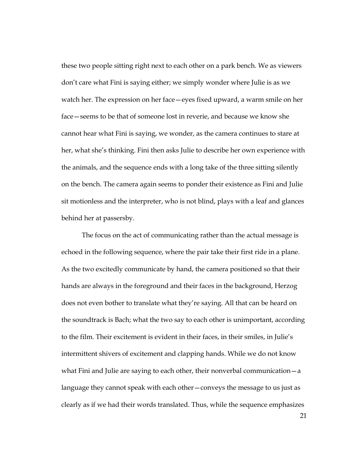these two people sitting right next to each other on a park bench. We as viewers don't care what Fini is saying either; we simply wonder where Julie is as we watch her. The expression on her face—eyes fixed upward, a warm smile on her face—seems to be that of someone lost in reverie, and because we know she cannot hear what Fini is saying, we wonder, as the camera continues to stare at her, what she's thinking. Fini then asks Julie to describe her own experience with the animals, and the sequence ends with a long take of the three sitting silently on the bench. The camera again seems to ponder their existence as Fini and Julie sit motionless and the interpreter, who is not blind, plays with a leaf and glances behind her at passersby.

The focus on the act of communicating rather than the actual message is echoed in the following sequence, where the pair take their first ride in a plane. As the two excitedly communicate by hand, the camera positioned so that their hands are always in the foreground and their faces in the background, Herzog does not even bother to translate what they're saying. All that can be heard on the soundtrack is Bach; what the two say to each other is unimportant, according to the film. Their excitement is evident in their faces, in their smiles, in Julie's intermittent shivers of excitement and clapping hands. While we do not know what Fini and Julie are saying to each other, their nonverbal communication—a language they cannot speak with each other—conveys the message to us just as clearly as if we had their words translated. Thus, while the sequence emphasizes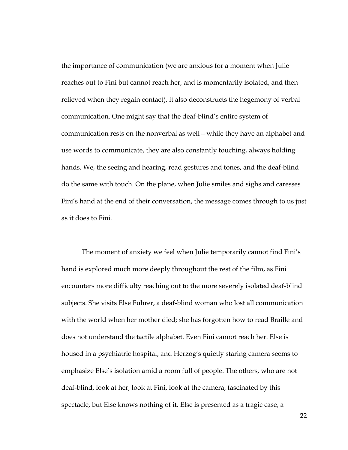the importance of communication (we are anxious for a moment when Julie reaches out to Fini but cannot reach her, and is momentarily isolated, and then relieved when they regain contact), it also deconstructs the hegemony of verbal communication. One might say that the deaf-blind's entire system of communication rests on the nonverbal as well—while they have an alphabet and use words to communicate, they are also constantly touching, always holding hands. We, the seeing and hearing, read gestures and tones, and the deaf-blind do the same with touch. On the plane, when Julie smiles and sighs and caresses Fini's hand at the end of their conversation, the message comes through to us just as it does to Fini.

The moment of anxiety we feel when Julie temporarily cannot find Fini's hand is explored much more deeply throughout the rest of the film, as Fini encounters more difficulty reaching out to the more severely isolated deaf-blind subjects. She visits Else Fuhrer, a deaf-blind woman who lost all communication with the world when her mother died; she has forgotten how to read Braille and does not understand the tactile alphabet. Even Fini cannot reach her. Else is housed in a psychiatric hospital, and Herzog's quietly staring camera seems to emphasize Else's isolation amid a room full of people. The others, who are not deaf-blind, look at her, look at Fini, look at the camera, fascinated by this spectacle, but Else knows nothing of it. Else is presented as a tragic case, a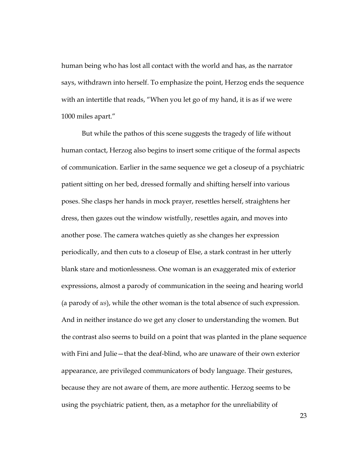human being who has lost all contact with the world and has, as the narrator says, withdrawn into herself. To emphasize the point, Herzog ends the sequence with an intertitle that reads, "When you let go of my hand, it is as if we were 1000 miles apart."

But while the pathos of this scene suggests the tragedy of life without human contact, Herzog also begins to insert some critique of the formal aspects of communication. Earlier in the same sequence we get a closeup of a psychiatric patient sitting on her bed, dressed formally and shifting herself into various poses. She clasps her hands in mock prayer, resettles herself, straightens her dress, then gazes out the window wistfully, resettles again, and moves into another pose. The camera watches quietly as she changes her expression periodically, and then cuts to a closeup of Else, a stark contrast in her utterly blank stare and motionlessness. One woman is an exaggerated mix of exterior expressions, almost a parody of communication in the seeing and hearing world (a parody of *us*), while the other woman is the total absence of such expression. And in neither instance do we get any closer to understanding the women. But the contrast also seems to build on a point that was planted in the plane sequence with Fini and Julie—that the deaf-blind, who are unaware of their own exterior appearance, are privileged communicators of body language. Their gestures, because they are not aware of them, are more authentic. Herzog seems to be using the psychiatric patient, then, as a metaphor for the unreliability of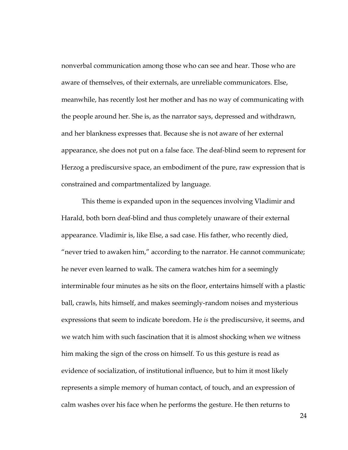nonverbal communication among those who can see and hear. Those who are aware of themselves, of their externals, are unreliable communicators. Else, meanwhile, has recently lost her mother and has no way of communicating with the people around her. She is, as the narrator says, depressed and withdrawn, and her blankness expresses that. Because she is not aware of her external appearance, she does not put on a false face. The deaf-blind seem to represent for Herzog a prediscursive space, an embodiment of the pure, raw expression that is constrained and compartmentalized by language.

This theme is expanded upon in the sequences involving Vladimir and Harald, both born deaf-blind and thus completely unaware of their external appearance. Vladimir is, like Else, a sad case. His father, who recently died, "never tried to awaken him," according to the narrator. He cannot communicate; he never even learned to walk. The camera watches him for a seemingly interminable four minutes as he sits on the floor, entertains himself with a plastic ball, crawls, hits himself, and makes seemingly-random noises and mysterious expressions that seem to indicate boredom. He *is* the prediscursive, it seems, and we watch him with such fascination that it is almost shocking when we witness him making the sign of the cross on himself. To us this gesture is read as evidence of socialization, of institutional influence, but to him it most likely represents a simple memory of human contact, of touch, and an expression of calm washes over his face when he performs the gesture. He then returns to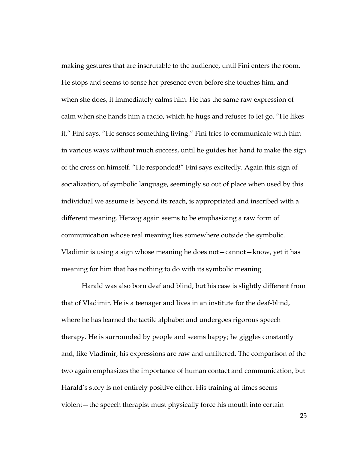making gestures that are inscrutable to the audience, until Fini enters the room. He stops and seems to sense her presence even before she touches him, and when she does, it immediately calms him. He has the same raw expression of calm when she hands him a radio, which he hugs and refuses to let go. "He likes it," Fini says. "He senses something living." Fini tries to communicate with him in various ways without much success, until he guides her hand to make the sign of the cross on himself. "He responded!" Fini says excitedly. Again this sign of socialization, of symbolic language, seemingly so out of place when used by this individual we assume is beyond its reach, is appropriated and inscribed with a different meaning. Herzog again seems to be emphasizing a raw form of communication whose real meaning lies somewhere outside the symbolic. Vladimir is using a sign whose meaning he does not—cannot—know, yet it has meaning for him that has nothing to do with its symbolic meaning.

Harald was also born deaf and blind, but his case is slightly different from that of Vladimir. He is a teenager and lives in an institute for the deaf-blind, where he has learned the tactile alphabet and undergoes rigorous speech therapy. He is surrounded by people and seems happy; he giggles constantly and, like Vladimir, his expressions are raw and unfiltered. The comparison of the two again emphasizes the importance of human contact and communication, but Harald's story is not entirely positive either. His training at times seems violent—the speech therapist must physically force his mouth into certain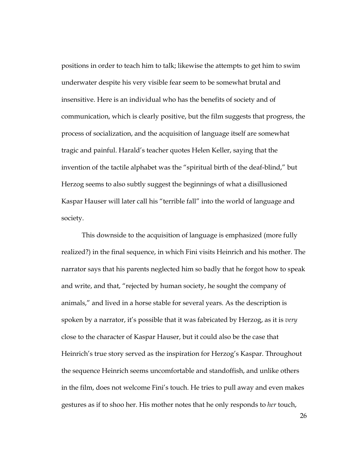positions in order to teach him to talk; likewise the attempts to get him to swim underwater despite his very visible fear seem to be somewhat brutal and insensitive. Here is an individual who has the benefits of society and of communication, which is clearly positive, but the film suggests that progress, the process of socialization, and the acquisition of language itself are somewhat tragic and painful. Harald's teacher quotes Helen Keller, saying that the invention of the tactile alphabet was the "spiritual birth of the deaf-blind," but Herzog seems to also subtly suggest the beginnings of what a disillusioned Kaspar Hauser will later call his "terrible fall" into the world of language and society.

This downside to the acquisition of language is emphasized (more fully realized?) in the final sequence, in which Fini visits Heinrich and his mother. The narrator says that his parents neglected him so badly that he forgot how to speak and write, and that, "rejected by human society, he sought the company of animals," and lived in a horse stable for several years. As the description is spoken by a narrator, it's possible that it was fabricated by Herzog, as it is *very* close to the character of Kaspar Hauser, but it could also be the case that Heinrich's true story served as the inspiration for Herzog's Kaspar. Throughout the sequence Heinrich seems uncomfortable and standoffish, and unlike others in the film, does not welcome Fini's touch. He tries to pull away and even makes gestures as if to shoo her. His mother notes that he only responds to *her* touch,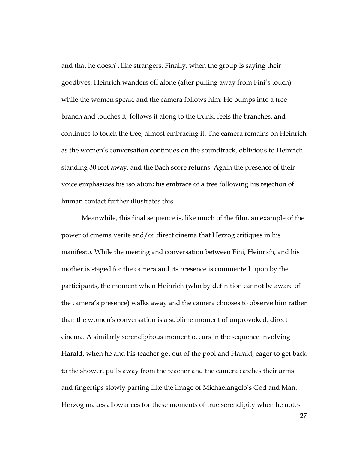and that he doesn't like strangers. Finally, when the group is saying their goodbyes, Heinrich wanders off alone (after pulling away from Fini's touch) while the women speak, and the camera follows him. He bumps into a tree branch and touches it, follows it along to the trunk, feels the branches, and continues to touch the tree, almost embracing it. The camera remains on Heinrich as the women's conversation continues on the soundtrack, oblivious to Heinrich standing 30 feet away, and the Bach score returns. Again the presence of their voice emphasizes his isolation; his embrace of a tree following his rejection of human contact further illustrates this.

Meanwhile, this final sequence is, like much of the film, an example of the power of cinema verite and/or direct cinema that Herzog critiques in his manifesto. While the meeting and conversation between Fini, Heinrich, and his mother is staged for the camera and its presence is commented upon by the participants, the moment when Heinrich (who by definition cannot be aware of the camera's presence) walks away and the camera chooses to observe him rather than the women's conversation is a sublime moment of unprovoked, direct cinema. A similarly serendipitous moment occurs in the sequence involving Harald, when he and his teacher get out of the pool and Harald, eager to get back to the shower, pulls away from the teacher and the camera catches their arms and fingertips slowly parting like the image of Michaelangelo's God and Man. Herzog makes allowances for these moments of true serendipity when he notes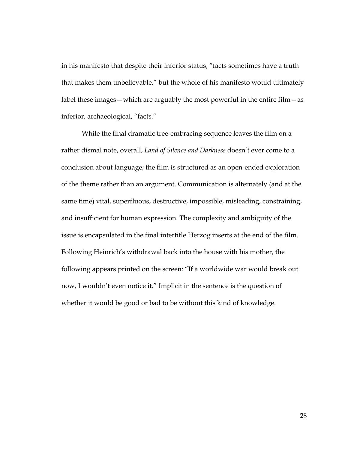in his manifesto that despite their inferior status, "facts sometimes have a truth that makes them unbelievable," but the whole of his manifesto would ultimately label these images—which are arguably the most powerful in the entire film—as inferior, archaeological, "facts."

While the final dramatic tree-embracing sequence leaves the film on a rather dismal note, overall, *Land of Silence and Darkness* doesn't ever come to a conclusion about language; the film is structured as an open-ended exploration of the theme rather than an argument. Communication is alternately (and at the same time) vital, superfluous, destructive, impossible, misleading, constraining, and insufficient for human expression. The complexity and ambiguity of the issue is encapsulated in the final intertitle Herzog inserts at the end of the film. Following Heinrich's withdrawal back into the house with his mother, the following appears printed on the screen: "If a worldwide war would break out now, I wouldn't even notice it." Implicit in the sentence is the question of whether it would be good or bad to be without this kind of knowledge.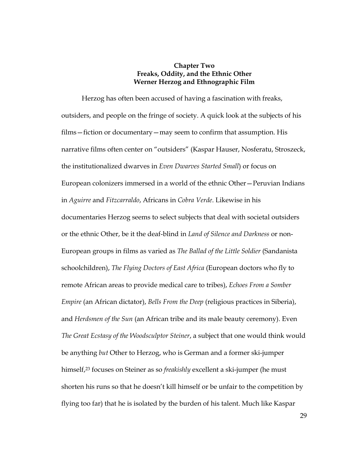# **Chapter Two Freaks, Oddity, and the Ethnic Other Werner Herzog and Ethnographic Film**

Herzog has often been accused of having a fascination with freaks, outsiders, and people on the fringe of society. A quick look at the subjects of his films—fiction or documentary—may seem to confirm that assumption. His narrative films often center on "outsiders" (Kaspar Hauser, Nosferatu, Stroszeck, the institutionalized dwarves in *Even Dwarves Started Small*) or focus on European colonizers immersed in a world of the ethnic Other—Peruvian Indians in *Aguirre* and *Fitzcarraldo*, Africans in *Cobra Verde*. Likewise in his documentaries Herzog seems to select subjects that deal with societal outsiders or the ethnic Other, be it the deaf-blind in *Land of Silence and Darkness* or non-European groups in films as varied as *The Ballad of the Little Soldier* (Sandanista schoolchildren), *The Flying Doctors of East Africa* (European doctors who fly to remote African areas to provide medical care to tribes), *Echoes From a Somber Empire* (an African dictator), *Bells From the Deep* (religious practices in Siberia), and *Herdsmen of the Sun* (an African tribe and its male beauty ceremony). Even *The Great Ecstasy of the Woodsculptor Steiner*, a subject that one would think would be anything *but* Other to Herzog, who is German and a former ski-jumper himself,23 focuses on Steiner as so *freakishly* excellent a ski-jumper (he must shorten his runs so that he doesn't kill himself or be unfair to the competition by flying too far) that he is isolated by the burden of his talent. Much like Kaspar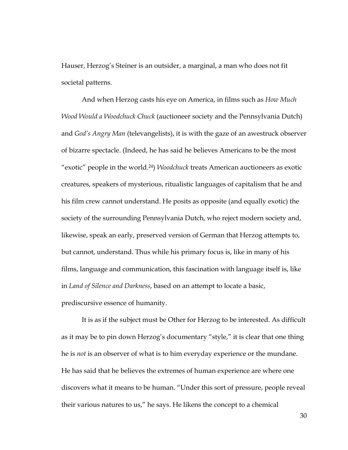Hauser, Herzog's Steiner is an outsider, a marginal, a man who does not fit societal patterns.

And when Herzog casts his eye on America, in films such as *How Much Wood Would a Woodchuck Chuck* (auctioneer society and the Pennsylvania Dutch) and *God's Angry Man* (televangelists), it is with the gaze of an awestruck observer of bizarre spectacle. (Indeed, he has said he believes Americans to be the most "exotic" people in the world.24) *Woodchuck* treats American auctioneers as exotic creatures, speakers of mysterious, ritualistic languages of capitalism that he and his film crew cannot understand. He posits as opposite (and equally exotic) the society of the surrounding Pennsylvania Dutch, who reject modern society and, likewise, speak an early, preserved version of German that Herzog attempts to, but cannot, understand. Thus while his primary focus is, like in many of his films, language and communication, this fascination with language itself is, like in *Land of Silence and Darkness*, based on an attempt to locate a basic, prediscursive essence of humanity.

It is as if the subject must be Other for Herzog to be interested. As difficult as it may be to pin down Herzog's documentary "style," it is clear that one thing he is *not* is an observer of what is to him everyday experience or the mundane. He has said that he believes the extremes of human experience are where one discovers what it means to be human. "Under this sort of pressure, people reveal their various natures to us," he says. He likens the concept to a chemical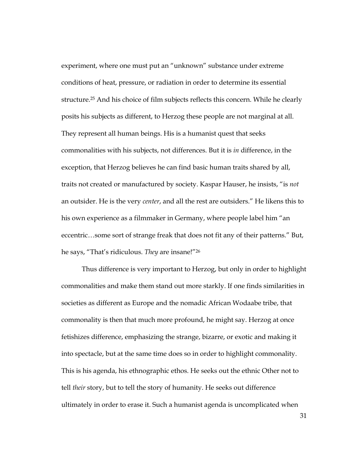experiment, where one must put an "unknown" substance under extreme conditions of heat, pressure, or radiation in order to determine its essential structure.<sup>25</sup> And his choice of film subjects reflects this concern. While he clearly posits his subjects as different, to Herzog these people are not marginal at all. They represent all human beings. His is a humanist quest that seeks commonalities with his subjects, not differences. But it is *in* difference, in the exception, that Herzog believes he can find basic human traits shared by all, traits not created or manufactured by society. Kaspar Hauser, he insists, "is *not* an outsider. He is the very *center*, and all the rest are outsiders." He likens this to his own experience as a filmmaker in Germany, where people label him "an eccentric…some sort of strange freak that does not fit any of their patterns." But, he says, "That's ridiculous. *They* are insane!"26

Thus difference is very important to Herzog, but only in order to highlight commonalities and make them stand out more starkly. If one finds similarities in societies as different as Europe and the nomadic African Wodaabe tribe, that commonality is then that much more profound, he might say. Herzog at once fetishizes difference, emphasizing the strange, bizarre, or exotic and making it into spectacle, but at the same time does so in order to highlight commonality. This is his agenda, his ethnographic ethos. He seeks out the ethnic Other not to tell *their* story, but to tell the story of humanity. He seeks out difference ultimately in order to erase it. Such a humanist agenda is uncomplicated when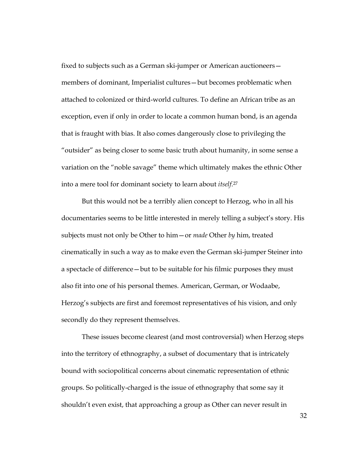fixed to subjects such as a German ski-jumper or American auctioneers members of dominant, Imperialist cultures—but becomes problematic when attached to colonized or third-world cultures. To define an African tribe as an exception, even if only in order to locate a common human bond, is an agenda that is fraught with bias. It also comes dangerously close to privileging the "outsider" as being closer to some basic truth about humanity, in some sense a variation on the "noble savage" theme which ultimately makes the ethnic Other into a mere tool for dominant society to learn about *itself*. 27

But this would not be a terribly alien concept to Herzog, who in all his documentaries seems to be little interested in merely telling a subject's story. His subjects must not only be Other to him—or *made* Other *by* him, treated cinematically in such a way as to make even the German ski-jumper Steiner into a spectacle of difference—but to be suitable for his filmic purposes they must also fit into one of his personal themes. American, German, or Wodaabe, Herzog's subjects are first and foremost representatives of his vision, and only secondly do they represent themselves.

These issues become clearest (and most controversial) when Herzog steps into the territory of ethnography, a subset of documentary that is intricately bound with sociopolitical concerns about cinematic representation of ethnic groups. So politically-charged is the issue of ethnography that some say it shouldn't even exist, that approaching a group as Other can never result in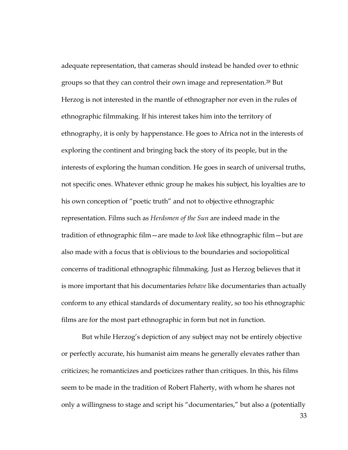adequate representation, that cameras should instead be handed over to ethnic groups so that they can control their own image and representation.28 But Herzog is not interested in the mantle of ethnographer nor even in the rules of ethnographic filmmaking. If his interest takes him into the territory of ethnography, it is only by happenstance. He goes to Africa not in the interests of exploring the continent and bringing back the story of its people, but in the interests of exploring the human condition. He goes in search of universal truths, not specific ones. Whatever ethnic group he makes his subject, his loyalties are to his own conception of "poetic truth" and not to objective ethnographic representation. Films such as *Herdsmen of the Sun* are indeed made in the tradition of ethnographic film—are made to *look* like ethnographic film—but are also made with a focus that is oblivious to the boundaries and sociopolitical concerns of traditional ethnographic filmmaking. Just as Herzog believes that it is more important that his documentaries *behave* like documentaries than actually conform to any ethical standards of documentary reality, so too his ethnographic films are for the most part ethnographic in form but not in function.

But while Herzog's depiction of any subject may not be entirely objective or perfectly accurate, his humanist aim means he generally elevates rather than criticizes; he romanticizes and poeticizes rather than critiques. In this, his films seem to be made in the tradition of Robert Flaherty, with whom he shares not only a willingness to stage and script his "documentaries," but also a (potentially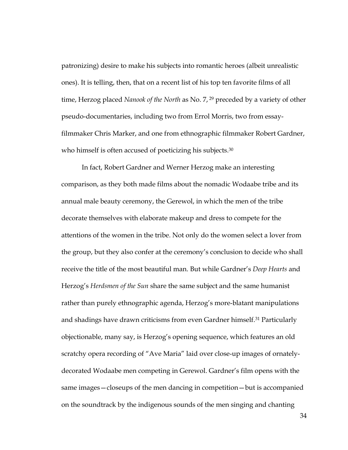patronizing) desire to make his subjects into romantic heroes (albeit unrealistic ones). It is telling, then, that on a recent list of his top ten favorite films of all time, Herzog placed *Nanook of the North* as No. 7, 29 preceded by a variety of other pseudo-documentaries, including two from Errol Morris, two from essayfilmmaker Chris Marker, and one from ethnographic filmmaker Robert Gardner, who himself is often accused of poeticizing his subjects.<sup>30</sup>

In fact, Robert Gardner and Werner Herzog make an interesting comparison, as they both made films about the nomadic Wodaabe tribe and its annual male beauty ceremony, the Gerewol, in which the men of the tribe decorate themselves with elaborate makeup and dress to compete for the attentions of the women in the tribe. Not only do the women select a lover from the group, but they also confer at the ceremony's conclusion to decide who shall receive the title of the most beautiful man. But while Gardner's *Deep Hearts* and Herzog's *Herdsmen of the Sun* share the same subject and the same humanist rather than purely ethnographic agenda, Herzog's more-blatant manipulations and shadings have drawn criticisms from even Gardner himself.31 Particularly objectionable, many say, is Herzog's opening sequence, which features an old scratchy opera recording of "Ave Maria" laid over close-up images of ornatelydecorated Wodaabe men competing in Gerewol. Gardner's film opens with the same images—closeups of the men dancing in competition—but is accompanied on the soundtrack by the indigenous sounds of the men singing and chanting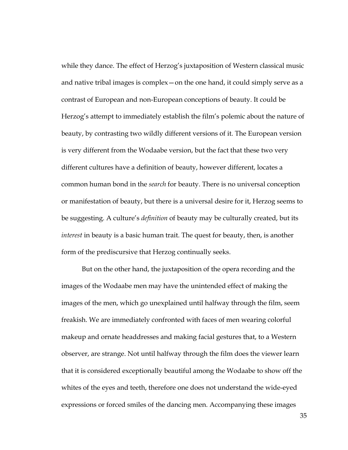while they dance. The effect of Herzog's juxtaposition of Western classical music and native tribal images is complex—on the one hand, it could simply serve as a contrast of European and non-European conceptions of beauty. It could be Herzog's attempt to immediately establish the film's polemic about the nature of beauty, by contrasting two wildly different versions of it. The European version is very different from the Wodaabe version, but the fact that these two very different cultures have a definition of beauty, however different, locates a common human bond in the *search* for beauty. There is no universal conception or manifestation of beauty, but there is a universal desire for it, Herzog seems to be suggesting. A culture's *definition* of beauty may be culturally created, but its *interest* in beauty is a basic human trait. The quest for beauty, then, is another form of the prediscursive that Herzog continually seeks.

But on the other hand, the juxtaposition of the opera recording and the images of the Wodaabe men may have the unintended effect of making the images of the men, which go unexplained until halfway through the film, seem freakish. We are immediately confronted with faces of men wearing colorful makeup and ornate headdresses and making facial gestures that, to a Western observer, are strange. Not until halfway through the film does the viewer learn that it is considered exceptionally beautiful among the Wodaabe to show off the whites of the eyes and teeth, therefore one does not understand the wide-eyed expressions or forced smiles of the dancing men. Accompanying these images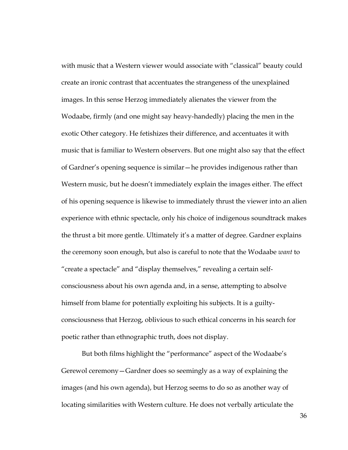with music that a Western viewer would associate with "classical" beauty could create an ironic contrast that accentuates the strangeness of the unexplained images. In this sense Herzog immediately alienates the viewer from the Wodaabe, firmly (and one might say heavy-handedly) placing the men in the exotic Other category. He fetishizes their difference, and accentuates it with music that is familiar to Western observers. But one might also say that the effect of Gardner's opening sequence is similar—he provides indigenous rather than Western music, but he doesn't immediately explain the images either. The effect of his opening sequence is likewise to immediately thrust the viewer into an alien experience with ethnic spectacle, only his choice of indigenous soundtrack makes the thrust a bit more gentle. Ultimately it's a matter of degree. Gardner explains the ceremony soon enough, but also is careful to note that the Wodaabe *want* to "create a spectacle" and "display themselves," revealing a certain selfconsciousness about his own agenda and, in a sense, attempting to absolve himself from blame for potentially exploiting his subjects. It is a guiltyconsciousness that Herzog, oblivious to such ethical concerns in his search for poetic rather than ethnographic truth, does not display.

But both films highlight the "performance" aspect of the Wodaabe's Gerewol ceremony—Gardner does so seemingly as a way of explaining the images (and his own agenda), but Herzog seems to do so as another way of locating similarities with Western culture. He does not verbally articulate the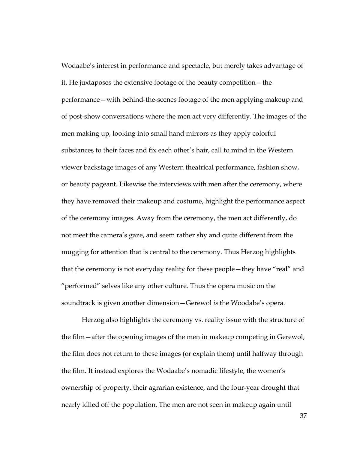Wodaabe's interest in performance and spectacle, but merely takes advantage of it. He juxtaposes the extensive footage of the beauty competition—the performance—with behind-the-scenes footage of the men applying makeup and of post-show conversations where the men act very differently. The images of the men making up, looking into small hand mirrors as they apply colorful substances to their faces and fix each other's hair, call to mind in the Western viewer backstage images of any Western theatrical performance, fashion show, or beauty pageant. Likewise the interviews with men after the ceremony, where they have removed their makeup and costume, highlight the performance aspect of the ceremony images. Away from the ceremony, the men act differently, do not meet the camera's gaze, and seem rather shy and quite different from the mugging for attention that is central to the ceremony. Thus Herzog highlights that the ceremony is not everyday reality for these people—they have "real" and "performed" selves like any other culture. Thus the opera music on the soundtrack is given another dimension—Gerewol *is* the Woodabe's opera.

Herzog also highlights the ceremony vs. reality issue with the structure of the film—after the opening images of the men in makeup competing in Gerewol, the film does not return to these images (or explain them) until halfway through the film. It instead explores the Wodaabe's nomadic lifestyle, the women's ownership of property, their agrarian existence, and the four-year drought that nearly killed off the population. The men are not seen in makeup again until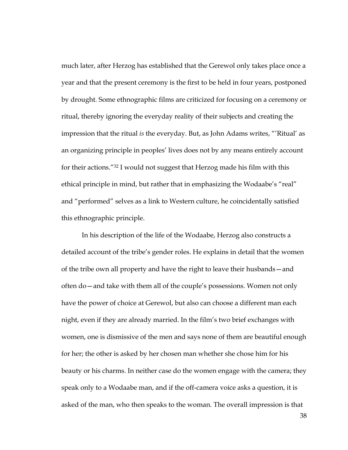much later, after Herzog has established that the Gerewol only takes place once a year and that the present ceremony is the first to be held in four years, postponed by drought. Some ethnographic films are criticized for focusing on a ceremony or ritual, thereby ignoring the everyday reality of their subjects and creating the impression that the ritual *is* the everyday. But, as John Adams writes, "'Ritual' as an organizing principle in peoples' lives does not by any means entirely account for their actions."32 I would not suggest that Herzog made his film with this ethical principle in mind, but rather that in emphasizing the Wodaabe's "real" and "performed" selves as a link to Western culture, he coincidentally satisfied this ethnographic principle.

In his description of the life of the Wodaabe, Herzog also constructs a detailed account of the tribe's gender roles. He explains in detail that the women of the tribe own all property and have the right to leave their husbands—and often do—and take with them all of the couple's possessions. Women not only have the power of choice at Gerewol, but also can choose a different man each night, even if they are already married. In the film's two brief exchanges with women, one is dismissive of the men and says none of them are beautiful enough for her; the other is asked by her chosen man whether she chose him for his beauty or his charms. In neither case do the women engage with the camera; they speak only to a Wodaabe man, and if the off-camera voice asks a question, it is asked of the man, who then speaks to the woman. The overall impression is that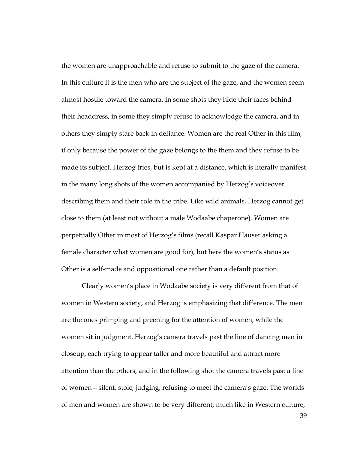the women are unapproachable and refuse to submit to the gaze of the camera. In this culture it is the men who are the subject of the gaze, and the women seem almost hostile toward the camera. In some shots they hide their faces behind their headdress, in some they simply refuse to acknowledge the camera, and in others they simply stare back in defiance. Women are the real Other in this film, if only because the power of the gaze belongs to the them and they refuse to be made its subject. Herzog tries, but is kept at a distance, which is literally manifest in the many long shots of the women accompanied by Herzog's voiceover describing them and their role in the tribe. Like wild animals, Herzog cannot get close to them (at least not without a male Wodaabe chaperone). Women are perpetually Other in most of Herzog's films (recall Kaspar Hauser asking a female character what women are good for), but here the women's status as Other is a self-made and oppositional one rather than a default position.

Clearly women's place in Wodaabe society is very different from that of women in Western society, and Herzog is emphasizing that difference. The men are the ones primping and preening for the attention of women, while the women sit in judgment. Herzog's camera travels past the line of dancing men in closeup, each trying to appear taller and more beautiful and attract more attention than the others, and in the following shot the camera travels past a line of women—silent, stoic, judging, refusing to meet the camera's gaze. The worlds of men and women are shown to be very different, much like in Western culture,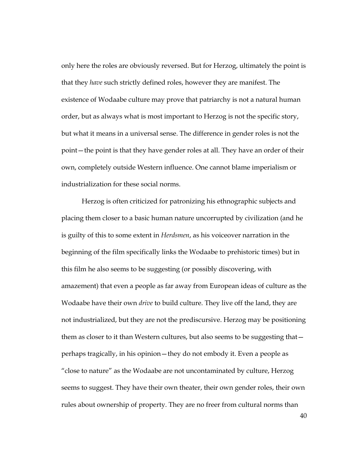only here the roles are obviously reversed. But for Herzog, ultimately the point is that they *have* such strictly defined roles, however they are manifest. The existence of Wodaabe culture may prove that patriarchy is not a natural human order, but as always what is most important to Herzog is not the specific story, but what it means in a universal sense. The difference in gender roles is not the point—the point is that they have gender roles at all. They have an order of their own, completely outside Western influence. One cannot blame imperialism or industrialization for these social norms.

Herzog is often criticized for patronizing his ethnographic subjects and placing them closer to a basic human nature uncorrupted by civilization (and he is guilty of this to some extent in *Herdsmen*, as his voiceover narration in the beginning of the film specifically links the Wodaabe to prehistoric times) but in this film he also seems to be suggesting (or possibly discovering, with amazement) that even a people as far away from European ideas of culture as the Wodaabe have their own *drive* to build culture. They live off the land, they are not industrialized, but they are not the prediscursive. Herzog may be positioning them as closer to it than Western cultures, but also seems to be suggesting that perhaps tragically, in his opinion—they do not embody it. Even a people as "close to nature" as the Wodaabe are not uncontaminated by culture, Herzog seems to suggest. They have their own theater, their own gender roles, their own rules about ownership of property. They are no freer from cultural norms than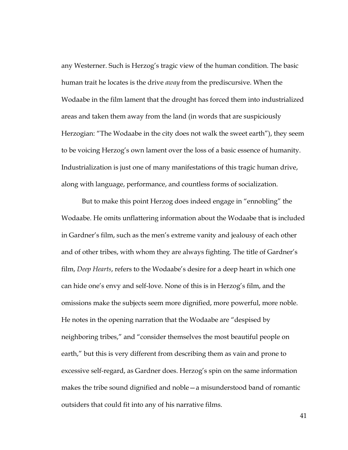any Westerner. Such is Herzog's tragic view of the human condition. The basic human trait he locates is the drive *away* from the prediscursive. When the Wodaabe in the film lament that the drought has forced them into industrialized areas and taken them away from the land (in words that are suspiciously Herzogian: "The Wodaabe in the city does not walk the sweet earth"), they seem to be voicing Herzog's own lament over the loss of a basic essence of humanity. Industrialization is just one of many manifestations of this tragic human drive, along with language, performance, and countless forms of socialization.

But to make this point Herzog does indeed engage in "ennobling" the Wodaabe. He omits unflattering information about the Wodaabe that is included in Gardner's film, such as the men's extreme vanity and jealousy of each other and of other tribes, with whom they are always fighting. The title of Gardner's film, *Deep Hearts*, refers to the Wodaabe's desire for a deep heart in which one can hide one's envy and self-love. None of this is in Herzog's film, and the omissions make the subjects seem more dignified, more powerful, more noble. He notes in the opening narration that the Wodaabe are "despised by neighboring tribes," and "consider themselves the most beautiful people on earth," but this is very different from describing them as vain and prone to excessive self-regard, as Gardner does. Herzog's spin on the same information makes the tribe sound dignified and noble—a misunderstood band of romantic outsiders that could fit into any of his narrative films.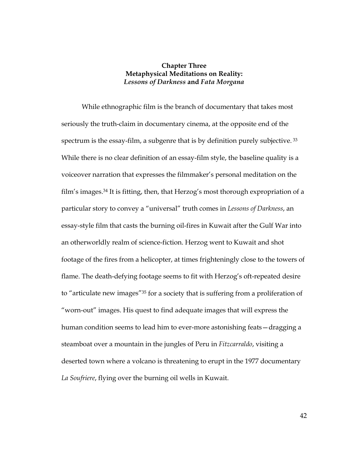## **Chapter Three Metaphysical Meditations on Reality:**  *Lessons of Darkness* **and** *Fata Morgana*

While ethnographic film is the branch of documentary that takes most seriously the truth-claim in documentary cinema, at the opposite end of the spectrum is the essay-film, a subgenre that is by definition purely subjective.<sup>33</sup> While there is no clear definition of an essay-film style, the baseline quality is a voiceover narration that expresses the filmmaker's personal meditation on the film's images.34 It is fitting, then, that Herzog's most thorough expropriation of a particular story to convey a "universal" truth comes in *Lessons of Darkness*, an essay-style film that casts the burning oil-fires in Kuwait after the Gulf War into an otherworldly realm of science-fiction. Herzog went to Kuwait and shot footage of the fires from a helicopter, at times frighteningly close to the towers of flame. The death-defying footage seems to fit with Herzog's oft-repeated desire to "articulate new images"35 for a society that is suffering from a proliferation of "worn-out" images. His quest to find adequate images that will express the human condition seems to lead him to ever-more astonishing feats—dragging a steamboat over a mountain in the jungles of Peru in *Fitzcarraldo*, visiting a deserted town where a volcano is threatening to erupt in the 1977 documentary *La Soufriere*, flying over the burning oil wells in Kuwait.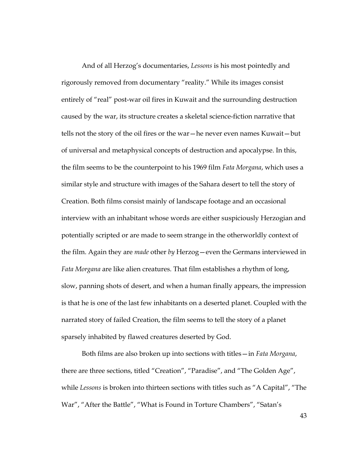And of all Herzog's documentaries, *Lessons* is his most pointedly and rigorously removed from documentary "reality." While its images consist entirely of "real" post-war oil fires in Kuwait and the surrounding destruction caused by the war, its structure creates a skeletal science-fiction narrative that tells not the story of the oil fires or the war—he never even names Kuwait—but of universal and metaphysical concepts of destruction and apocalypse. In this, the film seems to be the counterpoint to his 1969 film *Fata Morgana*, which uses a similar style and structure with images of the Sahara desert to tell the story of Creation. Both films consist mainly of landscape footage and an occasional interview with an inhabitant whose words are either suspiciously Herzogian and potentially scripted or are made to seem strange in the otherworldly context of the film. Again they are *made* other *by* Herzog—even the Germans interviewed in *Fata Morgana* are like alien creatures. That film establishes a rhythm of long, slow, panning shots of desert, and when a human finally appears, the impression is that he is one of the last few inhabitants on a deserted planet. Coupled with the narrated story of failed Creation, the film seems to tell the story of a planet sparsely inhabited by flawed creatures deserted by God.

Both films are also broken up into sections with titles—in *Fata Morgana*, there are three sections, titled "Creation", "Paradise", and "The Golden Age", while *Lessons* is broken into thirteen sections with titles such as "A Capital", "The War", "After the Battle", "What is Found in Torture Chambers", "Satan's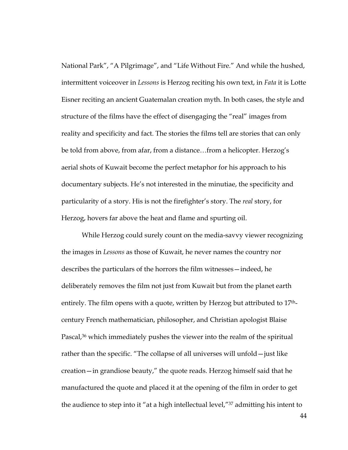National Park", "A Pilgrimage", and "Life Without Fire." And while the hushed, intermittent voiceover in *Lessons* is Herzog reciting his own text, in *Fata* it is Lotte Eisner reciting an ancient Guatemalan creation myth. In both cases, the style and structure of the films have the effect of disengaging the "real" images from reality and specificity and fact. The stories the films tell are stories that can only be told from above, from afar, from a distance…from a helicopter. Herzog's aerial shots of Kuwait become the perfect metaphor for his approach to his documentary subjects. He's not interested in the minutiae, the specificity and particularity of a story. His is not the firefighter's story. The *real* story, for Herzog, hovers far above the heat and flame and spurting oil.

While Herzog could surely count on the media-savvy viewer recognizing the images in *Lessons* as those of Kuwait, he never names the country nor describes the particulars of the horrors the film witnesses—indeed, he deliberately removes the film not just from Kuwait but from the planet earth entirely. The film opens with a quote, written by Herzog but attributed to 17thcentury French mathematician, philosopher, and Christian apologist Blaise Pascal,<sup>36</sup> which immediately pushes the viewer into the realm of the spiritual rather than the specific. "The collapse of all universes will unfold—just like creation—in grandiose beauty," the quote reads. Herzog himself said that he manufactured the quote and placed it at the opening of the film in order to get the audience to step into it "at a high intellectual level,"37 admitting his intent to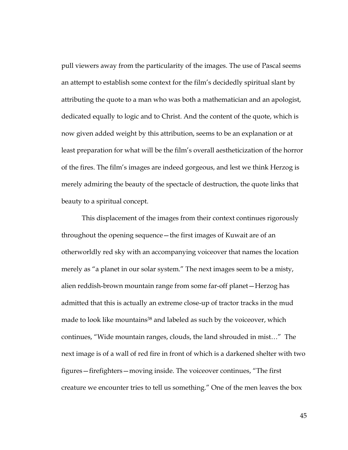pull viewers away from the particularity of the images. The use of Pascal seems an attempt to establish some context for the film's decidedly spiritual slant by attributing the quote to a man who was both a mathematician and an apologist, dedicated equally to logic and to Christ. And the content of the quote, which is now given added weight by this attribution, seems to be an explanation or at least preparation for what will be the film's overall aestheticization of the horror of the fires. The film's images are indeed gorgeous, and lest we think Herzog is merely admiring the beauty of the spectacle of destruction, the quote links that beauty to a spiritual concept.

This displacement of the images from their context continues rigorously throughout the opening sequence—the first images of Kuwait are of an otherworldly red sky with an accompanying voiceover that names the location merely as "a planet in our solar system." The next images seem to be a misty, alien reddish-brown mountain range from some far-off planet—Herzog has admitted that this is actually an extreme close-up of tractor tracks in the mud made to look like mountains<sup>38</sup> and labeled as such by the voiceover, which continues, "Wide mountain ranges, clouds, the land shrouded in mist…" The next image is of a wall of red fire in front of which is a darkened shelter with two figures—firefighters—moving inside. The voiceover continues, "The first creature we encounter tries to tell us something." One of the men leaves the box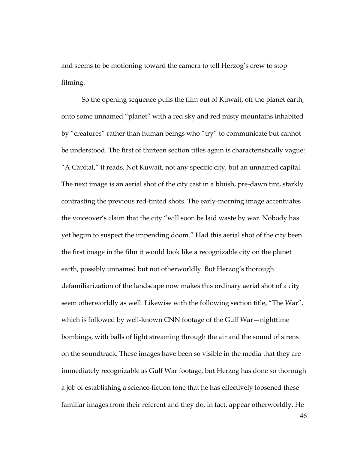and seems to be motioning toward the camera to tell Herzog's crew to stop filming.

So the opening sequence pulls the film out of Kuwait, off the planet earth, onto some unnamed "planet" with a red sky and red misty mountains inhabited by "creatures" rather than human beings who "try" to communicate but cannot be understood. The first of thirteen section titles again is characteristically vague: "A Capital," it reads. Not Kuwait, not any specific city, but an unnamed capital. The next image is an aerial shot of the city cast in a bluish, pre-dawn tint, starkly contrasting the previous red-tinted shots. The early-morning image accentuates the voiceover's claim that the city "will soon be laid waste by war. Nobody has yet begun to suspect the impending doom." Had this aerial shot of the city been the first image in the film it would look like a recognizable city on the planet earth, possibly unnamed but not otherworldly. But Herzog's thorough defamiliarization of the landscape now makes this ordinary aerial shot of a city seem otherworldly as well. Likewise with the following section title, "The War", which is followed by well-known CNN footage of the Gulf War—nighttime bombings, with balls of light streaming through the air and the sound of sirens on the soundtrack. These images have been so visible in the media that they are immediately recognizable as Gulf War footage, but Herzog has done so thorough a job of establishing a science-fiction tone that he has effectively loosened these familiar images from their referent and they do, in fact, appear otherworldly. He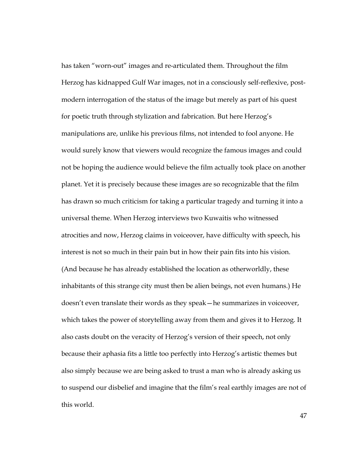has taken "worn-out" images and re-articulated them. Throughout the film Herzog has kidnapped Gulf War images, not in a consciously self-reflexive, postmodern interrogation of the status of the image but merely as part of his quest for poetic truth through stylization and fabrication. But here Herzog's manipulations are, unlike his previous films, not intended to fool anyone. He would surely know that viewers would recognize the famous images and could not be hoping the audience would believe the film actually took place on another planet. Yet it is precisely because these images are so recognizable that the film has drawn so much criticism for taking a particular tragedy and turning it into a universal theme. When Herzog interviews two Kuwaitis who witnessed atrocities and now, Herzog claims in voiceover, have difficulty with speech, his interest is not so much in their pain but in how their pain fits into his vision. (And because he has already established the location as otherworldly, these inhabitants of this strange city must then be alien beings, not even humans.) He doesn't even translate their words as they speak—he summarizes in voiceover, which takes the power of storytelling away from them and gives it to Herzog. It also casts doubt on the veracity of Herzog's version of their speech, not only because their aphasia fits a little too perfectly into Herzog's artistic themes but also simply because we are being asked to trust a man who is already asking us to suspend our disbelief and imagine that the film's real earthly images are not of this world.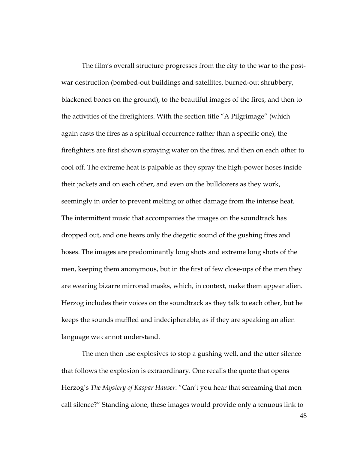The film's overall structure progresses from the city to the war to the postwar destruction (bombed-out buildings and satellites, burned-out shrubbery, blackened bones on the ground), to the beautiful images of the fires, and then to the activities of the firefighters. With the section title "A Pilgrimage" (which again casts the fires as a spiritual occurrence rather than a specific one), the firefighters are first shown spraying water on the fires, and then on each other to cool off. The extreme heat is palpable as they spray the high-power hoses inside their jackets and on each other, and even on the bulldozers as they work, seemingly in order to prevent melting or other damage from the intense heat. The intermittent music that accompanies the images on the soundtrack has dropped out, and one hears only the diegetic sound of the gushing fires and hoses. The images are predominantly long shots and extreme long shots of the men, keeping them anonymous, but in the first of few close-ups of the men they are wearing bizarre mirrored masks, which, in context, make them appear alien. Herzog includes their voices on the soundtrack as they talk to each other, but he keeps the sounds muffled and indecipherable, as if they are speaking an alien language we cannot understand.

The men then use explosives to stop a gushing well, and the utter silence that follows the explosion is extraordinary. One recalls the quote that opens Herzog's *The Mystery of Kaspar Hauser*: "Can't you hear that screaming that men call silence?" Standing alone, these images would provide only a tenuous link to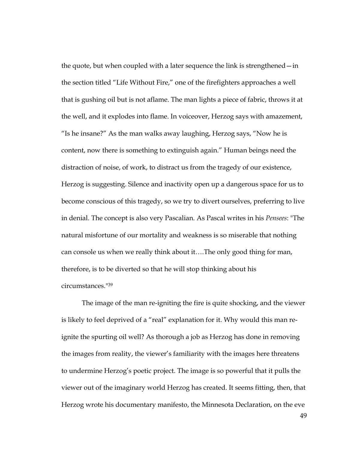the quote, but when coupled with a later sequence the link is strengthened—in the section titled "Life Without Fire," one of the firefighters approaches a well that is gushing oil but is not aflame. The man lights a piece of fabric, throws it at the well, and it explodes into flame. In voiceover, Herzog says with amazement, "Is he insane?" As the man walks away laughing, Herzog says, "Now he is content, now there is something to extinguish again." Human beings need the distraction of noise, of work, to distract us from the tragedy of our existence, Herzog is suggesting. Silence and inactivity open up a dangerous space for us to become conscious of this tragedy, so we try to divert ourselves, preferring to live in denial. The concept is also very Pascalian. As Pascal writes in his *Pensees*: "The natural misfortune of our mortality and weakness is so miserable that nothing can console us when we really think about it….The only good thing for man, therefore, is to be diverted so that he will stop thinking about his circumstances."39

The image of the man re-igniting the fire is quite shocking, and the viewer is likely to feel deprived of a "real" explanation for it. Why would this man reignite the spurting oil well? As thorough a job as Herzog has done in removing the images from reality, the viewer's familiarity with the images here threatens to undermine Herzog's poetic project. The image is so powerful that it pulls the viewer out of the imaginary world Herzog has created. It seems fitting, then, that Herzog wrote his documentary manifesto, the Minnesota Declaration, on the eve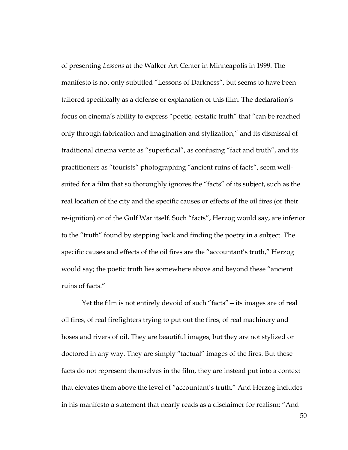of presenting *Lessons* at the Walker Art Center in Minneapolis in 1999. The manifesto is not only subtitled "Lessons of Darkness", but seems to have been tailored specifically as a defense or explanation of this film. The declaration's focus on cinema's ability to express "poetic, ecstatic truth" that "can be reached only through fabrication and imagination and stylization," and its dismissal of traditional cinema verite as "superficial", as confusing "fact and truth", and its practitioners as "tourists" photographing "ancient ruins of facts", seem wellsuited for a film that so thoroughly ignores the "facts" of its subject, such as the real location of the city and the specific causes or effects of the oil fires (or their re-ignition) or of the Gulf War itself. Such "facts", Herzog would say, are inferior to the "truth" found by stepping back and finding the poetry in a subject. The specific causes and effects of the oil fires are the "accountant's truth," Herzog would say; the poetic truth lies somewhere above and beyond these "ancient ruins of facts."

Yet the film is not entirely devoid of such "facts"—its images are of real oil fires, of real firefighters trying to put out the fires, of real machinery and hoses and rivers of oil. They are beautiful images, but they are not stylized or doctored in any way. They are simply "factual" images of the fires. But these facts do not represent themselves in the film, they are instead put into a context that elevates them above the level of "accountant's truth." And Herzog includes in his manifesto a statement that nearly reads as a disclaimer for realism: "And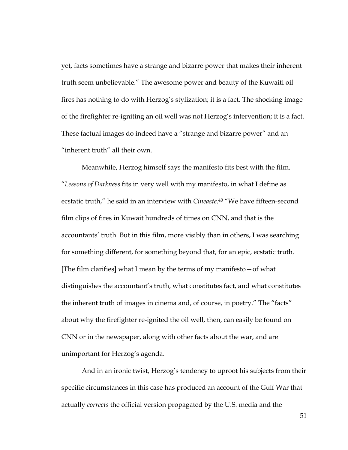yet, facts sometimes have a strange and bizarre power that makes their inherent truth seem unbelievable." The awesome power and beauty of the Kuwaiti oil fires has nothing to do with Herzog's stylization; it is a fact. The shocking image of the firefighter re-igniting an oil well was not Herzog's intervention; it is a fact. These factual images do indeed have a "strange and bizarre power" and an "inherent truth" all their own.

Meanwhile, Herzog himself says the manifesto fits best with the film. "*Lessons of Darkness* fits in very well with my manifesto, in what I define as ecstatic truth," he said in an interview with *Cineaste*. 40 "We have fifteen-second film clips of fires in Kuwait hundreds of times on CNN, and that is the accountants' truth. But in this film, more visibly than in others, I was searching for something different, for something beyond that, for an epic, ecstatic truth. [The film clarifies] what I mean by the terms of my manifesto—of what distinguishes the accountant's truth, what constitutes fact, and what constitutes the inherent truth of images in cinema and, of course, in poetry." The "facts" about why the firefighter re-ignited the oil well, then, can easily be found on CNN or in the newspaper, along with other facts about the war, and are unimportant for Herzog's agenda.

And in an ironic twist, Herzog's tendency to uproot his subjects from their specific circumstances in this case has produced an account of the Gulf War that actually *corrects* the official version propagated by the U.S. media and the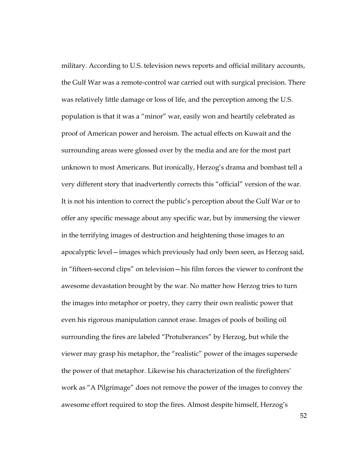military. According to U.S. television news reports and official military accounts, the Gulf War was a remote-control war carried out with surgical precision. There was relatively little damage or loss of life, and the perception among the U.S. population is that it was a "minor" war, easily won and heartily celebrated as proof of American power and heroism. The actual effects on Kuwait and the surrounding areas were glossed over by the media and are for the most part unknown to most Americans. But ironically, Herzog's drama and bombast tell a very different story that inadvertently corrects this "official" version of the war. It is not his intention to correct the public's perception about the Gulf War or to offer any specific message about any specific war, but by immersing the viewer in the terrifying images of destruction and heightening those images to an apocalyptic level—images which previously had only been seen, as Herzog said, in "fifteen-second clips" on television—his film forces the viewer to confront the awesome devastation brought by the war. No matter how Herzog tries to turn the images into metaphor or poetry, they carry their own realistic power that even his rigorous manipulation cannot erase. Images of pools of boiling oil surrounding the fires are labeled "Protuberances" by Herzog, but while the viewer may grasp his metaphor, the "realistic" power of the images supersede the power of that metaphor. Likewise his characterization of the firefighters' work as "A Pilgrimage" does not remove the power of the images to convey the awesome effort required to stop the fires. Almost despite himself, Herzog's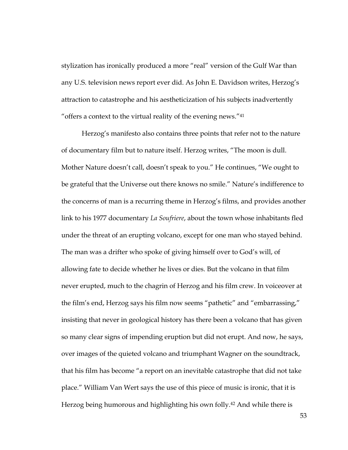stylization has ironically produced a more "real" version of the Gulf War than any U.S. television news report ever did. As John E. Davidson writes, Herzog's attraction to catastrophe and his aestheticization of his subjects inadvertently "offers a context to the virtual reality of the evening news."41

Herzog's manifesto also contains three points that refer not to the nature of documentary film but to nature itself. Herzog writes, "The moon is dull. Mother Nature doesn't call, doesn't speak to you." He continues, "We ought to be grateful that the Universe out there knows no smile." Nature's indifference to the concerns of man is a recurring theme in Herzog's films, and provides another link to his 1977 documentary *La Soufriere*, about the town whose inhabitants fled under the threat of an erupting volcano, except for one man who stayed behind. The man was a drifter who spoke of giving himself over to God's will, of allowing fate to decide whether he lives or dies. But the volcano in that film never erupted, much to the chagrin of Herzog and his film crew. In voiceover at the film's end, Herzog says his film now seems "pathetic" and "embarrassing," insisting that never in geological history has there been a volcano that has given so many clear signs of impending eruption but did not erupt. And now, he says, over images of the quieted volcano and triumphant Wagner on the soundtrack, that his film has become "a report on an inevitable catastrophe that did not take place." William Van Wert says the use of this piece of music is ironic, that it is Herzog being humorous and highlighting his own folly.42 And while there is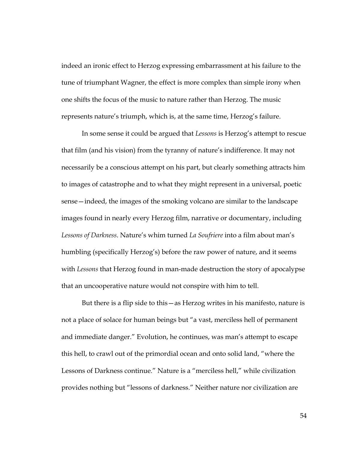indeed an ironic effect to Herzog expressing embarrassment at his failure to the tune of triumphant Wagner, the effect is more complex than simple irony when one shifts the focus of the music to nature rather than Herzog. The music represents nature's triumph, which is, at the same time, Herzog's failure.

In some sense it could be argued that *Lessons* is Herzog's attempt to rescue that film (and his vision) from the tyranny of nature's indifference. It may not necessarily be a conscious attempt on his part, but clearly something attracts him to images of catastrophe and to what they might represent in a universal, poetic sense—indeed, the images of the smoking volcano are similar to the landscape images found in nearly every Herzog film, narrative or documentary, including *Lessons of Darkness*. Nature's whim turned *La Soufriere* into a film about man's humbling (specifically Herzog's) before the raw power of nature, and it seems with *Lessons* that Herzog found in man-made destruction the story of apocalypse that an uncooperative nature would not conspire with him to tell.

But there is a flip side to this—as Herzog writes in his manifesto, nature is not a place of solace for human beings but "a vast, merciless hell of permanent and immediate danger." Evolution, he continues, was man's attempt to escape this hell, to crawl out of the primordial ocean and onto solid land, "where the Lessons of Darkness continue." Nature is a "merciless hell," while civilization provides nothing but "lessons of darkness." Neither nature nor civilization are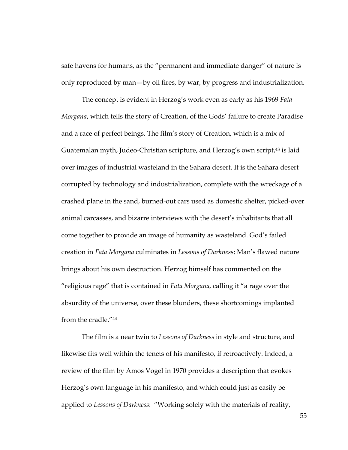safe havens for humans, as the "permanent and immediate danger" of nature is only reproduced by man—by oil fires, by war, by progress and industrialization.

The concept is evident in Herzog's work even as early as his 1969 *Fata Morgana*, which tells the story of Creation, of the Gods' failure to create Paradise and a race of perfect beings. The film's story of Creation, which is a mix of Guatemalan myth, Judeo-Christian scripture, and Herzog's own script,<sup>43</sup> is laid over images of industrial wasteland in the Sahara desert. It is the Sahara desert corrupted by technology and industrialization, complete with the wreckage of a crashed plane in the sand, burned-out cars used as domestic shelter, picked-over animal carcasses, and bizarre interviews with the desert's inhabitants that all come together to provide an image of humanity as wasteland. God's failed creation in *Fata Morgana* culminates in *Lessons of Darkness*; Man's flawed nature brings about his own destruction. Herzog himself has commented on the "religious rage" that is contained in *Fata Morgana,* calling it "a rage over the absurdity of the universe, over these blunders, these shortcomings implanted from the cradle."44

The film is a near twin to *Lessons of Darkness* in style and structure, and likewise fits well within the tenets of his manifesto, if retroactively. Indeed, a review of the film by Amos Vogel in 1970 provides a description that evokes Herzog's own language in his manifesto, and which could just as easily be applied to *Lessons of Darkness*: "Working solely with the materials of reality,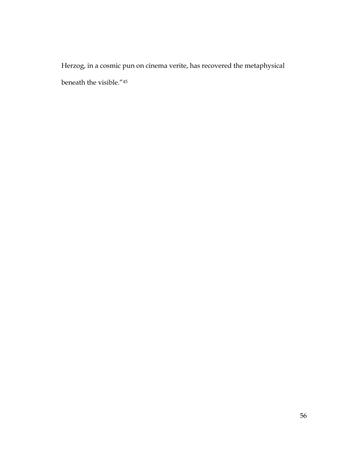Herzog, in a cosmic pun on cinema verite, has recovered the metaphysical beneath the visible."45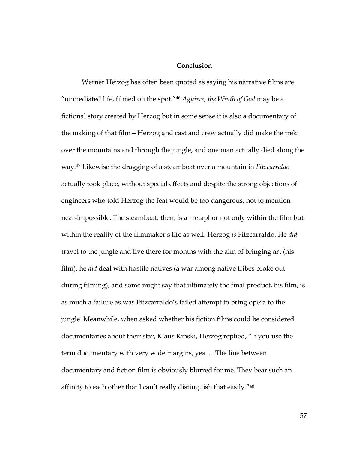#### **Conclusion**

Werner Herzog has often been quoted as saying his narrative films are "unmediated life, filmed on the spot."46 *Aguirre, the Wrath of God* may be a fictional story created by Herzog but in some sense it is also a documentary of the making of that film—Herzog and cast and crew actually did make the trek over the mountains and through the jungle, and one man actually died along the way.47 Likewise the dragging of a steamboat over a mountain in *Fitzcarraldo* actually took place, without special effects and despite the strong objections of engineers who told Herzog the feat would be too dangerous, not to mention near-impossible. The steamboat, then, is a metaphor not only within the film but within the reality of the filmmaker's life as well. Herzog *is* Fitzcarraldo. He *did* travel to the jungle and live there for months with the aim of bringing art (his film), he *did* deal with hostile natives (a war among native tribes broke out during filming), and some might say that ultimately the final product, his film, is as much a failure as was Fitzcarraldo's failed attempt to bring opera to the jungle. Meanwhile, when asked whether his fiction films could be considered documentaries about their star, Klaus Kinski, Herzog replied, "If you use the term documentary with very wide margins, yes. …The line between documentary and fiction film is obviously blurred for me. They bear such an affinity to each other that I can't really distinguish that easily."<sup>48</sup>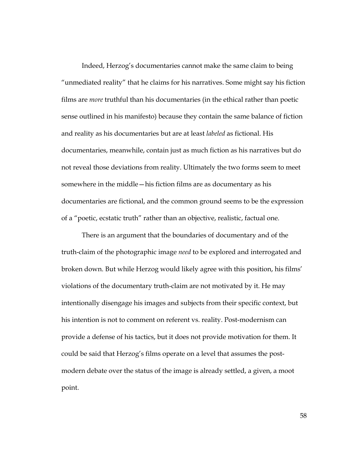Indeed, Herzog's documentaries cannot make the same claim to being "unmediated reality" that he claims for his narratives. Some might say his fiction films are *more* truthful than his documentaries (in the ethical rather than poetic sense outlined in his manifesto) because they contain the same balance of fiction and reality as his documentaries but are at least *labeled* as fictional. His documentaries, meanwhile, contain just as much fiction as his narratives but do not reveal those deviations from reality. Ultimately the two forms seem to meet somewhere in the middle—his fiction films are as documentary as his documentaries are fictional, and the common ground seems to be the expression of a "poetic, ecstatic truth" rather than an objective, realistic, factual one.

There is an argument that the boundaries of documentary and of the truth-claim of the photographic image *need* to be explored and interrogated and broken down. But while Herzog would likely agree with this position, his films' violations of the documentary truth-claim are not motivated by it. He may intentionally disengage his images and subjects from their specific context, but his intention is not to comment on referent vs. reality. Post-modernism can provide a defense of his tactics, but it does not provide motivation for them. It could be said that Herzog's films operate on a level that assumes the postmodern debate over the status of the image is already settled, a given, a moot point.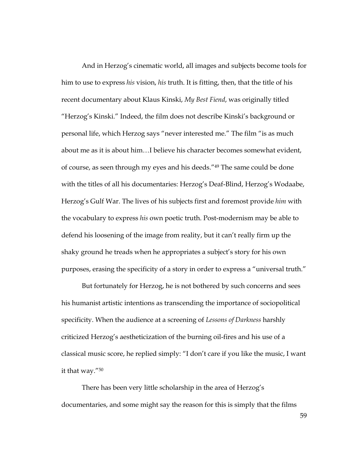And in Herzog's cinematic world, all images and subjects become tools for him to use to express *his* vision, *his* truth. It is fitting, then, that the title of his recent documentary about Klaus Kinski, *My Best Fiend*, was originally titled "Herzog's Kinski." Indeed, the film does not describe Kinski's background or personal life, which Herzog says "never interested me." The film "is as much about me as it is about him…I believe his character becomes somewhat evident, of course, as seen through my eyes and his deeds."49 The same could be done with the titles of all his documentaries: Herzog's Deaf-Blind, Herzog's Wodaabe, Herzog's Gulf War. The lives of his subjects first and foremost provide *him* with the vocabulary to express *his* own poetic truth. Post-modernism may be able to defend his loosening of the image from reality, but it can't really firm up the shaky ground he treads when he appropriates a subject's story for his own purposes, erasing the specificity of a story in order to express a "universal truth."

But fortunately for Herzog, he is not bothered by such concerns and sees his humanist artistic intentions as transcending the importance of sociopolitical specificity. When the audience at a screening of *Lessons of Darkness* harshly criticized Herzog's aestheticization of the burning oil-fires and his use of a classical music score, he replied simply: "I don't care if you like the music, I want it that way."50

There has been very little scholarship in the area of Herzog's documentaries, and some might say the reason for this is simply that the films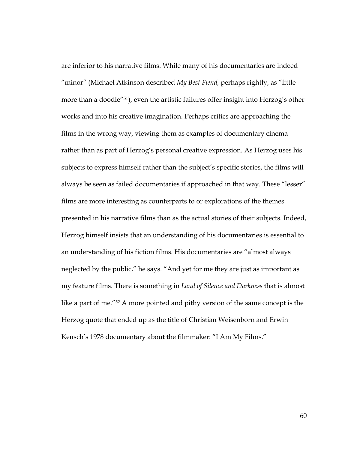are inferior to his narrative films. While many of his documentaries are indeed "minor" (Michael Atkinson described *My Best Fiend,* perhaps rightly, as "little more than a doodle"51), even the artistic failures offer insight into Herzog's other works and into his creative imagination. Perhaps critics are approaching the films in the wrong way, viewing them as examples of documentary cinema rather than as part of Herzog's personal creative expression. As Herzog uses his subjects to express himself rather than the subject's specific stories, the films will always be seen as failed documentaries if approached in that way. These "lesser" films are more interesting as counterparts to or explorations of the themes presented in his narrative films than as the actual stories of their subjects. Indeed, Herzog himself insists that an understanding of his documentaries is essential to an understanding of his fiction films. His documentaries are "almost always neglected by the public," he says. "And yet for me they are just as important as my feature films. There is something in *Land of Silence and Darkness* that is almost like a part of me."52 A more pointed and pithy version of the same concept is the Herzog quote that ended up as the title of Christian Weisenborn and Erwin Keusch's 1978 documentary about the filmmaker: "I Am My Films."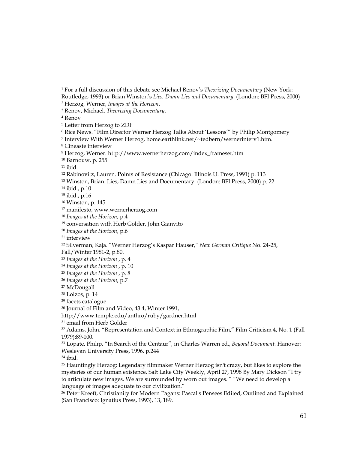$\overline{a}$ 

7 Interview With Werner Herzog, home.earthlink.net/~tedbern/wernerinterv1.htm.

13 Winston, Brian. Lies, Damn Lies and Documentary. (London: BFI Press, 2000) p. 22

14 ibid., p.10

15 ibid., p.16

36 Peter Kreeft, Christianity for Modern Pagans: Pascal's Pensees Edited, Outlined and Explained (San Francisco: Ignatius Press, 1993), 13, 189.

<sup>1</sup> For a full discussion of this debate see Michael Renov's *Theorizing Documentary* (New York: Routledge, 1993) or Brian Winston's *Lies, Damn Lies and Documentary*. (London: BFI Press, 2000)

<sup>2</sup> Herzog, Werner, *Images at the Horizon*. 3 Renov, Michael. *Theorizing Documentary*. 4 Renov

<sup>5</sup> Letter from Herzog to ZDF

<sup>6</sup> Rice News. "Film Director Werner Herzog Talks About 'Lessons'" by Philip Montgomery

<sup>8</sup> Cineaste interview

<sup>9</sup> Herzog, Werner. http://www.wernerherzog.com/index\_frameset.htm

<sup>10</sup> Barnouw, p. 255

 $11$  ibid.

<sup>12</sup> Rabinovitz, Lauren. Points of Resistance (Chicago: Illinois U. Press, 1991) p. 113

<sup>16</sup> Winston, p. 145

<sup>17</sup> manifesto, www.wernerherzog.com

<sup>18</sup> *Images at the Horizon*, p.4

<sup>19</sup> conversation with Herb Golder, John Gianvito

<sup>20</sup> *Images at the Horizon*, p.6

<sup>21</sup> interview

<sup>22</sup> Silverman, Kaja. "Werner Herzog's Kaspar Hauser," *New German Critique* No. 24-25,

Fall/Winter 1981-2, p.80.

<sup>23</sup> *Images at the Horizon* , p. 4

<sup>24</sup> *Images at the Horizon* , p. 10

<sup>25</sup> *Images at the Horizon* , p. 8

<sup>26</sup> *Images at the Horizon*, p.7

<sup>27</sup> McDougall

<sup>28</sup> Loizos, p. 14

<sup>29</sup> facets catalogue

<sup>30</sup> Journal of Film and Video, 43.4, Winter 1991,

http://www.temple.edu/anthro/ruby/gardner.html

<sup>31</sup> email from Herb Golder

<sup>32</sup> Adams, John. "Representation and Context in Ethnographic Film," Film Criticism 4, No. 1 (Fall 1979):89-100.

<sup>33</sup> Lopate, Philip, "In Search of the Centaur", in Charles Warren ed., *Beyond Document.* Hanover: Wesleyan University Press, 1996. p.244

<sup>34</sup> ibid.

<sup>35</sup> Hauntingly Herzog: Legendary filmmaker Werner Herzog isn't crazy, but likes to explore the mysteries of our human existence. Salt Lake City Weekly, April 27, 1998 By Mary Dickson "I try to articulate new images. We are surrounded by worn out images. " "We need to develop a language of images adequate to our civilization."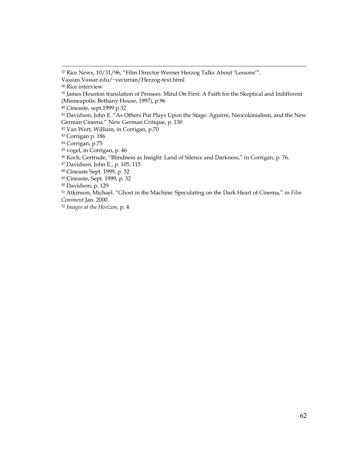$\overline{a}$ 

<sup>37</sup> Rice News, 10/31/96, "Film Director Werner Herzog Talks About 'Lessons'".

Vassun.Vassar.edu/~cecurran/Herzog-text.html

<sup>38</sup> Rice interview

<sup>39</sup> James Houston translation of Pensees. Mind On First: A Faith for the Skeptical and Indifferent (Minneapolis: Bethany House, 1997), p.96

<sup>40</sup> Cineaste, sept.1999 p.32

<sup>41</sup> Davidson, John E. "As Others Put Plays Upon the Stage: Aguirre, Neocolonialism, and the New German Cinema." New German Critique, p. 130

<sup>42</sup> Van Wert, William, in Corrigan, p.70

<sup>43</sup> Corrigan p. 186

<sup>44</sup> Corrigan, p.75

<sup>45</sup> vogel, in Corrigan, p. 46

<sup>46</sup> Koch, Gertrude, "Blindness as Insight: Land of Silence and Darkness," in Corrigan, p. 76.

<sup>47</sup> Davidson, John E., p. 105, 115

<sup>48</sup> Cineaste Sept. 1999, p. 32

<sup>49</sup> Cineaste, Sept. 1999, p. 32

<sup>50</sup> Davidson, p. 129

<sup>51</sup> Atkinson, Michael. "Ghost in the Machine: Speculating on the Dark Heart of Cinema," in *Film Comment* Jan. 2000.

<sup>52</sup> *Images at the Horizon*, p. 4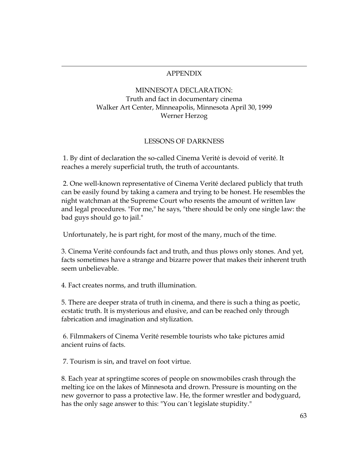## APPENDIX

# MINNESOTA DECLARATION: Truth and fact in documentary cinema Walker Art Center, Minneapolis, Minnesota April 30, 1999 Werner Herzog

# LESSONS OF DARKNESS

 1. By dint of declaration the so-called Cinema Verité is devoid of verité. It reaches a merely superficial truth, the truth of accountants.

 2. One well-known representative of Cinema Verité declared publicly that truth can be easily found by taking a camera and trying to be honest. He resembles the night watchman at the Supreme Court who resents the amount of written law and legal procedures. "For me," he says, "there should be only one single law: the bad guys should go to jail."

Unfortunately, he is part right, for most of the many, much of the time.

3. Cinema Verité confounds fact and truth, and thus plows only stones. And yet, facts sometimes have a strange and bizarre power that makes their inherent truth seem unbelievable.

4. Fact creates norms, and truth illumination.

 $\overline{a}$ 

5. There are deeper strata of truth in cinema, and there is such a thing as poetic, ecstatic truth. It is mysterious and elusive, and can be reached only through fabrication and imagination and stylization.

 6. Filmmakers of Cinema Verité resemble tourists who take pictures amid ancient ruins of facts.

7. Tourism is sin, and travel on foot virtue.

8. Each year at springtime scores of people on snowmobiles crash through the melting ice on the lakes of Minnesota and drown. Pressure is mounting on the new governor to pass a protective law. He, the former wrestler and bodyguard, has the only sage answer to this: "You can´t legislate stupidity."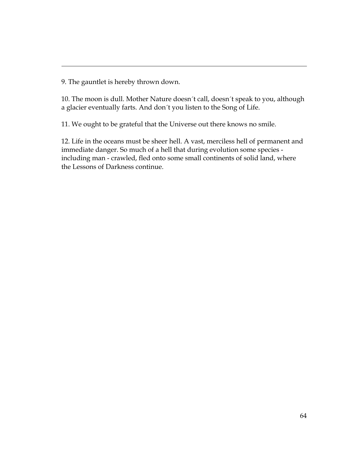9. The gauntlet is hereby thrown down.

 $\overline{a}$ 

10. The moon is dull. Mother Nature doesn´t call, doesn´t speak to you, although a glacier eventually farts. And don´t you listen to the Song of Life.

11. We ought to be grateful that the Universe out there knows no smile.

12. Life in the oceans must be sheer hell. A vast, merciless hell of permanent and immediate danger. So much of a hell that during evolution some species including man - crawled, fled onto some small continents of solid land, where the Lessons of Darkness continue.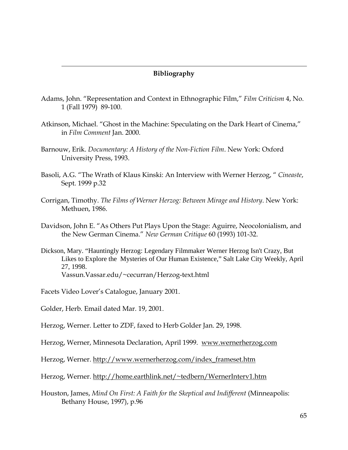#### **Bibliography**

- Adams, John. "Representation and Context in Ethnographic Film," *Film Criticism* 4, No. 1 (Fall 1979) 89-100.
- Atkinson, Michael. "Ghost in the Machine: Speculating on the Dark Heart of Cinema," in *Film Comment* Jan. 2000.
- Barnouw, Erik. *Documentary: A History of the Non-Fiction Film*. New York: Oxford University Press, 1993.
- Basoli, A.G. "The Wrath of Klaus Kinski: An Interview with Werner Herzog, " *Cineaste*, Sept. 1999 p.32
- Corrigan, Timothy. *The Films of Werner Herzog: Between Mirage and History*. New York: Methuen, 1986.
- Davidson, John E. "As Others Put Plays Upon the Stage: Aguirre, Neocolonialism, and the New German Cinema." *New German Critique* 60 (1993) 101-32.
- Dickson, Mary. "Hauntingly Herzog: Legendary Filmmaker Werner Herzog Isn't Crazy, But Likes to Explore the Mysteries of Our Human Existence," Salt Lake City Weekly, April 27, 1998. Vassun.Vassar.edu/~cecurran/Herzog-text.html

Facets Video Lover's Catalogue, January 2001.

Golder, Herb. Email dated Mar. 19, 2001.

 $\overline{a}$ 

Herzog, Werner. Letter to ZDF, faxed to Herb Golder Jan. 29, 1998.

Herzog, Werner, Minnesota Declaration, April 1999. www.wernerherzog.com

Herzog, Werner. http://www.wernerherzog.com/index\_frameset.htm

- Herzog, Werner. http://home.earthlink.net/~tedbern/WernerInterv1.htm
- Houston, James, *Mind On First: A Faith for the Skeptical and Indifferent* (Minneapolis: Bethany House, 1997), p.96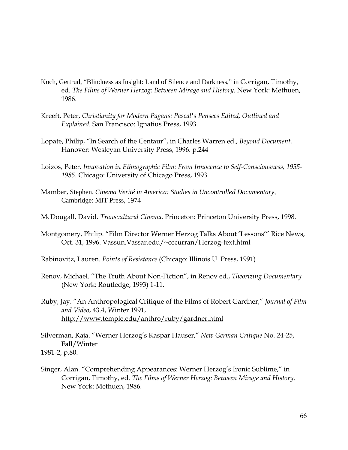- Koch, Gertrud, "Blindness as Insight: Land of Silence and Darkness," in Corrigan, Timothy, ed. *The Films of Werner Herzog: Between Mirage and History*. New York: Methuen, 1986.
- Kreeft, Peter, *Christianity for Modern Pagans: Pascal's Pensees Edited, Outlined and Explained.* San Francisco: Ignatius Press, 1993.

 $\overline{a}$ 

- Lopate, Philip, "In Search of the Centaur", in Charles Warren ed., *Beyond Document.* Hanover: Wesleyan University Press, 1996. p.244
- Loizos, Peter. *Innovation in Ethnographic Film: From Innocence to Self-Consciousness, 1955- 1985*. Chicago: University of Chicago Press, 1993.
- Mamber, Stephen. *Cinema Verité in America: Studies in Uncontrolled Documentary*, Cambridge: MIT Press, 1974
- McDougall, David. *Transcultural Cinema*. Princeton: Princeton University Press, 1998.
- Montgomery, Philip. "Film Director Werner Herzog Talks About 'Lessons'" Rice News, Oct. 31, 1996. Vassun.Vassar.edu/~cecurran/Herzog-text.html
- Rabinovitz, Lauren. *Points of Resistance* (Chicago: Illinois U. Press, 1991)
- Renov, Michael. "The Truth About Non-Fiction", in Renov ed., *Theorizing Documentary* (New York: Routledge, 1993) 1-11.
- Ruby, Jay. "An Anthropological Critique of the Films of Robert Gardner," *Journal of Film and Video*, 43.4, Winter 1991, http://www.temple.edu/anthro/ruby/gardner.html

Silverman, Kaja. "Werner Herzog's Kaspar Hauser," *New German Critique* No. 24-25, Fall/Winter 1981-2, p.80.

Singer, Alan. "Comprehending Appearances: Werner Herzog's Ironic Sublime," in Corrigan, Timothy, ed. *The Films of Werner Herzog: Between Mirage and History*. New York: Methuen, 1986.